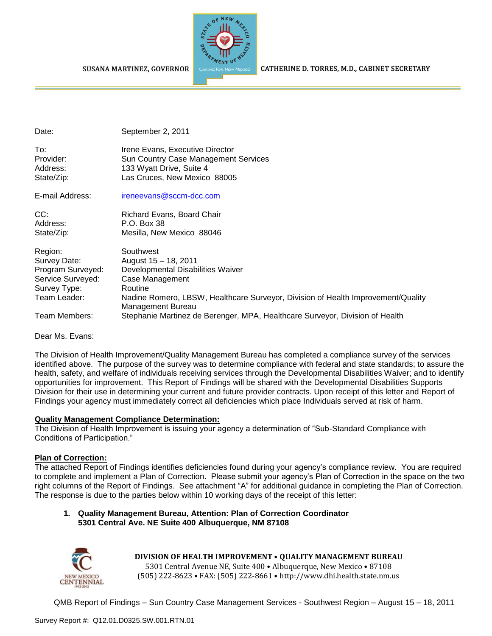**SUSANA MARTINEZ, GOVERNOR** 



CATHERINE D. TORRES, M.D., CABINET SECRETARY

Date: September 2, 2011

| To∶        | Irene Evans. Executive Director      |
|------------|--------------------------------------|
| Provider:  | Sun Country Case Management Services |
| Address:   | 133 Wyatt Drive, Suite 4             |
| State/Zip: | Las Cruces, New Mexico 88005         |

E-mail Address: [ireneevans@sccm-dcc.com](mailto:ireneevans@sccm-dcc.com)

CC: Richard Evans, Board Chair Address: P.O. Box 38 State/Zip: Mesilla, New Mexico 88046

| Region:           | Southwest                                                                        |
|-------------------|----------------------------------------------------------------------------------|
| Survey Date:      | August 15 - 18, 2011                                                             |
| Program Surveyed: | Developmental Disabilities Waiver                                                |
| Service Surveyed: | Case Management                                                                  |
| Survey Type:      | Routine                                                                          |
| Team Leader:      | Nadine Romero, LBSW, Healthcare Surveyor, Division of Health Improvement/Quality |
|                   | Management Bureau                                                                |
| Team Members:     | Stephanie Martinez de Berenger, MPA, Healthcare Surveyor, Division of Health     |

Dear Ms. Evans:

The Division of Health Improvement/Quality Management Bureau has completed a compliance survey of the services identified above. The purpose of the survey was to determine compliance with federal and state standards; to assure the health, safety, and welfare of individuals receiving services through the Developmental Disabilities Waiver; and to identify opportunities for improvement. This Report of Findings will be shared with the Developmental Disabilities Supports Division for their use in determining your current and future provider contracts. Upon receipt of this letter and Report of Findings your agency must immediately correct all deficiencies which place Individuals served at risk of harm.

## **Quality Management Compliance Determination:**

The Division of Health Improvement is issuing your agency a determination of "Sub-Standard Compliance with Conditions of Participation."

## **Plan of Correction:**

The attached Report of Findings identifies deficiencies found during your agency's compliance review. You are required to complete and implement a Plan of Correction. Please submit your agency's Plan of Correction in the space on the two right columns of the Report of Findings. See attachment "A" for additional guidance in completing the Plan of Correction. The response is due to the parties below within 10 working days of the receipt of this letter:

#### **1. Quality Management Bureau, Attention: Plan of Correction Coordinator 5301 Central Ave. NE Suite 400 Albuquerque, NM 87108**



**DIVISION OF HEALTH IMPROVEMENT** • **QUALITY MANAGEMENT BUREAU**

5301 Central Avenue NE, Suite 400 • Albuquerque, New Mexico • 87108 (505) 222-8623 • FAX: (505) 222-8661 • http://www.dhi.health.state.nm.us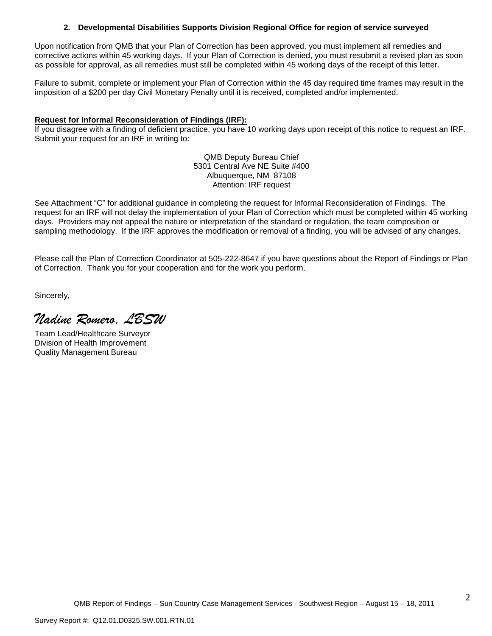#### **2. Developmental Disabilities Supports Division Regional Office for region of service surveyed**

Upon notification from QMB that your Plan of Correction has been approved, you must implement all remedies and corrective actions within 45 working days. If your Plan of Correction is denied, you must resubmit a revised plan as soon as possible for approval, as all remedies must still be completed within 45 working days of the receipt of this letter.

Failure to submit, complete or implement your Plan of Correction within the 45 day required time frames may result in the imposition of a \$200 per day Civil Monetary Penalty until it is received, completed and/or implemented.

#### **Request for Informal Reconsideration of Findings (IRF):**

If you disagree with a finding of deficient practice, you have 10 working days upon receipt of this notice to request an IRF. Submit your request for an IRF in writing to:

> QMB Deputy Bureau Chief 5301 Central Ave NE Suite #400 Albuquerque, NM 87108 Attention: IRF request

See Attachment "C" for additional guidance in completing the request for Informal Reconsideration of Findings. The request for an IRF will not delay the implementation of your Plan of Correction which must be completed within 45 working days. Providers may not appeal the nature or interpretation of the standard or regulation, the team composition or sampling methodology. If the IRF approves the modification or removal of a finding, you will be advised of any changes.

Please call the Plan of Correction Coordinator at 505-222-8647 if you have questions about the Report of Findings or Plan of Correction. Thank you for your cooperation and for the work you perform.

Sincerely,

*Nadine Romero, LBSW*

Team Lead/Healthcare Surveyor Division of Health Improvement Quality Management Bureau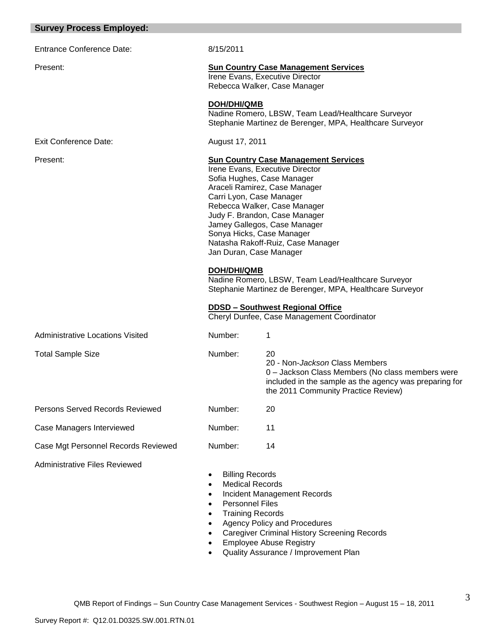|  | <b>Survey Process Employed:</b> |  |  |
|--|---------------------------------|--|--|
|--|---------------------------------|--|--|

| <b>Entrance Conference Date</b> |  |
|---------------------------------|--|
|---------------------------------|--|

#### Exit Conference Date: August 17, 2011

 $\mathbf{8}/15/2011$ 

#### Present: **Sun Country Case Management Services**

Irene Evans, Executive Director Rebecca Walker, Case Manager

#### **DOH/DHI/QMB**

Nadine Romero, LBSW, Team Lead/Healthcare Surveyor Stephanie Martinez de Berenger, MPA, Healthcare Surveyor

#### Present: **Sun Country Case Management Services**

Irene Evans, Executive Director Sofia Hughes, Case Manager Araceli Ramirez, Case Manager Carri Lyon, Case Manager Rebecca Walker, Case Manager Judy F. Brandon, Case Manager Jamey Gallegos, Case Manager Sonya Hicks, Case Manager Natasha Rakoff-Ruiz, Case Manager Jan Duran, Case Manager

#### **DOH/DHI/QMB**

Nadine Romero, LBSW, Team Lead/Healthcare Surveyor Stephanie Martinez de Berenger, MPA, Healthcare Surveyor

#### **DDSD – Southwest Regional Office**

Cheryl Dunfee, Case Management Coordinator

| <b>Administrative Locations Visited</b> | Number: |                                                                                                                                                                                                   |
|-----------------------------------------|---------|---------------------------------------------------------------------------------------------------------------------------------------------------------------------------------------------------|
| <b>Total Sample Size</b>                | Number: | 20<br>20 - Non- <i>Jackson</i> Class Members<br>0 - Jackson Class Members (No class members were<br>included in the sample as the agency was preparing for<br>the 2011 Community Practice Review) |
| Persons Served Records Reviewed         | Number: | 20                                                                                                                                                                                                |
| Case Managers Interviewed               | Number: | 11                                                                                                                                                                                                |
| Case Mgt Personnel Records Reviewed     | Number: | 14                                                                                                                                                                                                |
| <b>Administrative Files Reviewed</b>    |         |                                                                                                                                                                                                   |

- Billing Records
- Medical Records
- Incident Management Records
- Personnel Files
- Training Records
- Agency Policy and Procedures
- Caregiver Criminal History Screening Records
- Employee Abuse Registry
- Quality Assurance / Improvement Plan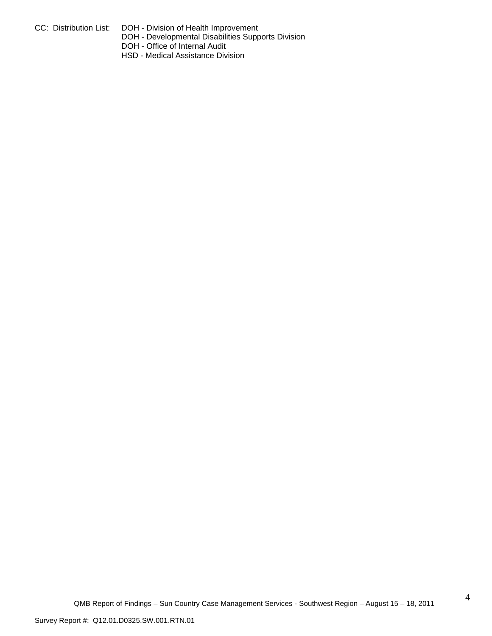- 
- CC: Distribution List: DOH Division of Health Improvement
	- DOH Developmental Disabilities Supports Division
	- DOH Office of Internal Audit
	- HSD Medical Assistance Division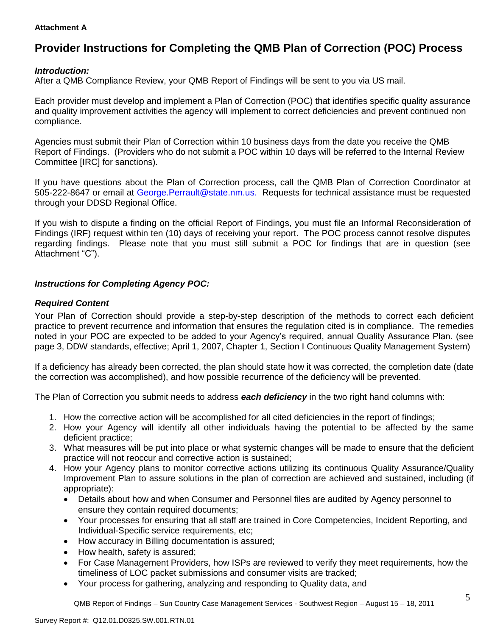#### **Attachment A**

# **Provider Instructions for Completing the QMB Plan of Correction (POC) Process**

## *Introduction:*

After a QMB Compliance Review, your QMB Report of Findings will be sent to you via US mail.

Each provider must develop and implement a Plan of Correction (POC) that identifies specific quality assurance and quality improvement activities the agency will implement to correct deficiencies and prevent continued non compliance.

Agencies must submit their Plan of Correction within 10 business days from the date you receive the QMB Report of Findings. (Providers who do not submit a POC within 10 days will be referred to the Internal Review Committee [IRC] for sanctions).

If you have questions about the Plan of Correction process, call the QMB Plan of Correction Coordinator at 505-222-8647 or email at George.Perrault@state.nm.us. Requests for technical assistance must be requested through your DDSD Regional Office.

If you wish to dispute a finding on the official Report of Findings, you must file an Informal Reconsideration of Findings (IRF) request within ten (10) days of receiving your report. The POC process cannot resolve disputes regarding findings. Please note that you must still submit a POC for findings that are in question (see Attachment "C").

## *Instructions for Completing Agency POC:*

## *Required Content*

Your Plan of Correction should provide a step-by-step description of the methods to correct each deficient practice to prevent recurrence and information that ensures the regulation cited is in compliance. The remedies noted in your POC are expected to be added to your Agency's required, annual Quality Assurance Plan. (see page 3, DDW standards, effective; April 1, 2007, Chapter 1, Section I Continuous Quality Management System)

If a deficiency has already been corrected, the plan should state how it was corrected, the completion date (date the correction was accomplished), and how possible recurrence of the deficiency will be prevented.

The Plan of Correction you submit needs to address *each deficiency* in the two right hand columns with:

- 1. How the corrective action will be accomplished for all cited deficiencies in the report of findings;
- 2. How your Agency will identify all other individuals having the potential to be affected by the same deficient practice;
- 3. What measures will be put into place or what systemic changes will be made to ensure that the deficient practice will not reoccur and corrective action is sustained;
- 4. How your Agency plans to monitor corrective actions utilizing its continuous Quality Assurance/Quality Improvement Plan to assure solutions in the plan of correction are achieved and sustained, including (if appropriate):
	- Details about how and when Consumer and Personnel files are audited by Agency personnel to ensure they contain required documents;
	- Your processes for ensuring that all staff are trained in Core Competencies, Incident Reporting, and Individual-Specific service requirements, etc;
	- How accuracy in Billing documentation is assured;
	- How health, safety is assured;
	- For Case Management Providers, how ISPs are reviewed to verify they meet requirements, how the timeliness of LOC packet submissions and consumer visits are tracked;
	- Your process for gathering, analyzing and responding to Quality data, and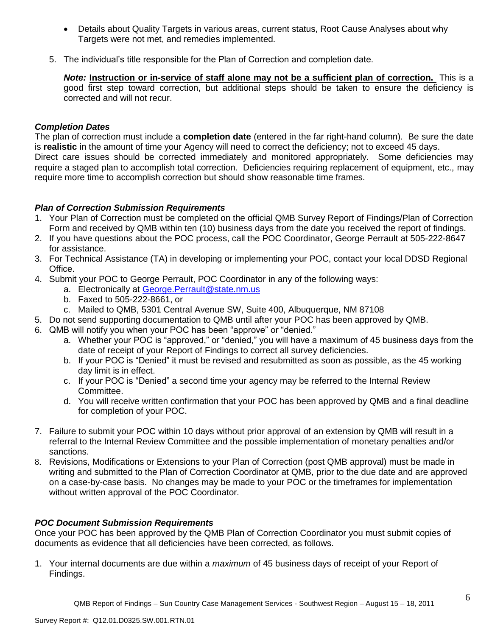- Details about Quality Targets in various areas, current status, Root Cause Analyses about why Targets were not met, and remedies implemented.
- 5. The individual's title responsible for the Plan of Correction and completion date.

*Note:* **Instruction or in-service of staff alone may not be a sufficient plan of correction.** This is a good first step toward correction, but additional steps should be taken to ensure the deficiency is corrected and will not recur.

## *Completion Dates*

The plan of correction must include a **completion date** (entered in the far right-hand column). Be sure the date is **realistic** in the amount of time your Agency will need to correct the deficiency; not to exceed 45 days. Direct care issues should be corrected immediately and monitored appropriately. Some deficiencies may require a staged plan to accomplish total correction. Deficiencies requiring replacement of equipment, etc., may require more time to accomplish correction but should show reasonable time frames.

## *Plan of Correction Submission Requirements*

- 1. Your Plan of Correction must be completed on the official QMB Survey Report of Findings/Plan of Correction Form and received by QMB within ten (10) business days from the date you received the report of findings.
- 2. If you have questions about the POC process, call the POC Coordinator, George Perrault at 505-222-8647 for assistance.
- 3. For Technical Assistance (TA) in developing or implementing your POC, contact your local DDSD Regional Office.
- 4. Submit your POC to George Perrault, POC Coordinator in any of the following ways:
	- a. Electronically at [George.Perrault@state.nm.us](mailto:George.Perrault@state.nm.us)
	- b. Faxed to 505-222-8661, or
	- c. Mailed to QMB, 5301 Central Avenue SW, Suite 400, Albuquerque, NM 87108
- 5. Do not send supporting documentation to QMB until after your POC has been approved by QMB.
- 6. QMB will notify you when your POC has been "approve" or "denied."
	- a. Whether your POC is "approved," or "denied," you will have a maximum of 45 business days from the date of receipt of your Report of Findings to correct all survey deficiencies.
	- b. If your POC is "Denied" it must be revised and resubmitted as soon as possible, as the 45 working day limit is in effect.
	- c. If your POC is "Denied" a second time your agency may be referred to the Internal Review Committee.
	- d. You will receive written confirmation that your POC has been approved by QMB and a final deadline for completion of your POC.
- 7. Failure to submit your POC within 10 days without prior approval of an extension by QMB will result in a referral to the Internal Review Committee and the possible implementation of monetary penalties and/or sanctions.
- 8. Revisions, Modifications or Extensions to your Plan of Correction (post QMB approval) must be made in writing and submitted to the Plan of Correction Coordinator at QMB, prior to the due date and are approved on a case-by-case basis. No changes may be made to your POC or the timeframes for implementation without written approval of the POC Coordinator.

## *POC Document Submission Requirements*

Once your POC has been approved by the QMB Plan of Correction Coordinator you must submit copies of documents as evidence that all deficiencies have been corrected, as follows.

1. Your internal documents are due within a *maximum* of 45 business days of receipt of your Report of Findings.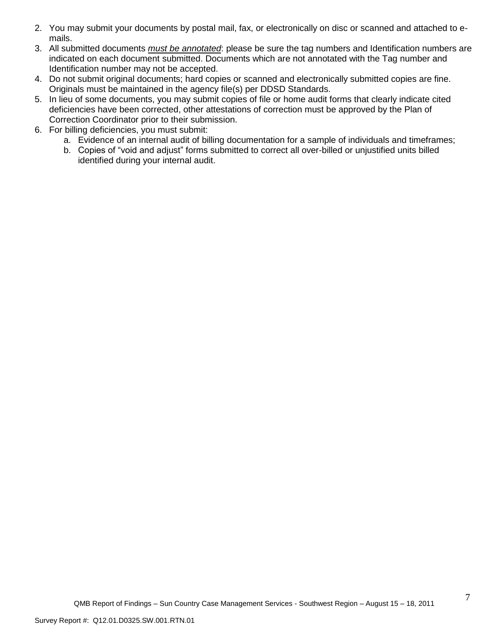- 2. You may submit your documents by postal mail, fax, or electronically on disc or scanned and attached to emails.
- 3. All submitted documents *must be annotated*: please be sure the tag numbers and Identification numbers are indicated on each document submitted. Documents which are not annotated with the Tag number and Identification number may not be accepted.
- 4. Do not submit original documents; hard copies or scanned and electronically submitted copies are fine. Originals must be maintained in the agency file(s) per DDSD Standards.
- 5. In lieu of some documents, you may submit copies of file or home audit forms that clearly indicate cited deficiencies have been corrected, other attestations of correction must be approved by the Plan of Correction Coordinator prior to their submission.
- 6. For billing deficiencies, you must submit:
	- a. Evidence of an internal audit of billing documentation for a sample of individuals and timeframes;
	- b. Copies of "void and adjust" forms submitted to correct all over-billed or unjustified units billed identified during your internal audit.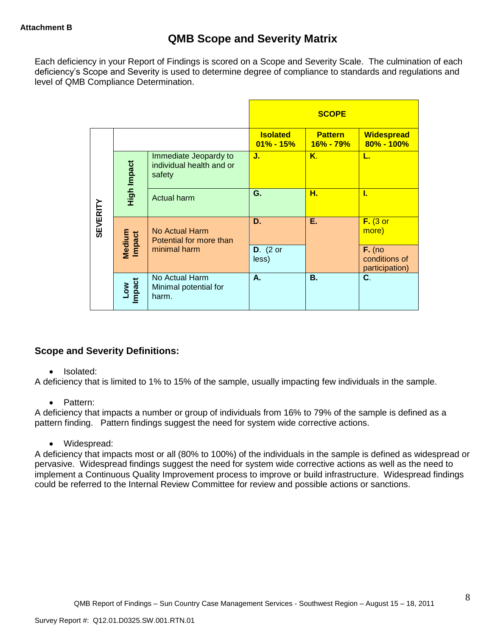# **QMB Scope and Severity Matrix**

Each deficiency in your Report of Findings is scored on a Scope and Severity Scale. The culmination of each deficiency's Scope and Severity is used to determine degree of compliance to standards and regulations and level of QMB Compliance Determination.

|                 |                      |                                                             |                                  | <b>SCOPE</b>                    |                                             |
|-----------------|----------------------|-------------------------------------------------------------|----------------------------------|---------------------------------|---------------------------------------------|
|                 |                      |                                                             | <b>Isolated</b><br>$01\% - 15\%$ | <b>Pattern</b><br>$16\% - 79\%$ | <b>Widespread</b><br>$80\% - 100\%$         |
|                 | High Impact          | Immediate Jeopardy to<br>individual health and or<br>safety | J.                               | K.                              | L.                                          |
|                 |                      | <b>Actual harm</b>                                          | G.                               | н.                              | L                                           |
| <b>SEVERITY</b> | Medium<br>Impact     | No Actual Harm<br>Potential for more than                   | D.                               | Е.                              | $F.$ (3 or<br>more)                         |
|                 |                      | minimal harm                                                | $D.$ (2 or<br>less)              |                                 | $F.$ (no<br>conditions of<br>participation) |
|                 | <b>Impact</b><br>Low | No Actual Harm<br>Minimal potential for<br>harm.            | Α.                               | <b>B.</b>                       | C.                                          |

## **Scope and Severity Definitions:**

#### • Isolated:

A deficiency that is limited to 1% to 15% of the sample, usually impacting few individuals in the sample.

## • Pattern:

A deficiency that impacts a number or group of individuals from 16% to 79% of the sample is defined as a pattern finding. Pattern findings suggest the need for system wide corrective actions.

Widespread:

A deficiency that impacts most or all (80% to 100%) of the individuals in the sample is defined as widespread or pervasive. Widespread findings suggest the need for system wide corrective actions as well as the need to implement a Continuous Quality Improvement process to improve or build infrastructure. Widespread findings could be referred to the Internal Review Committee for review and possible actions or sanctions.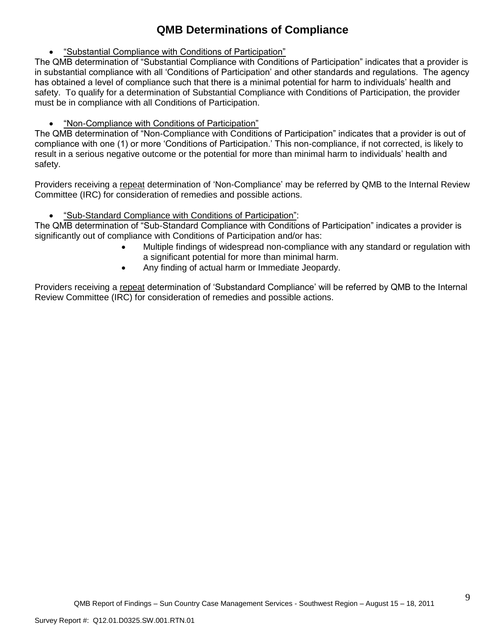# **QMB Determinations of Compliance**

"Substantial Compliance with Conditions of Participation"

The QMB determination of "Substantial Compliance with Conditions of Participation" indicates that a provider is in substantial compliance with all 'Conditions of Participation' and other standards and regulations. The agency has obtained a level of compliance such that there is a minimal potential for harm to individuals' health and safety. To qualify for a determination of Substantial Compliance with Conditions of Participation, the provider must be in compliance with all Conditions of Participation.

"Non-Compliance with Conditions of Participation"

The QMB determination of "Non-Compliance with Conditions of Participation" indicates that a provider is out of compliance with one (1) or more 'Conditions of Participation.' This non-compliance, if not corrected, is likely to result in a serious negative outcome or the potential for more than minimal harm to individuals' health and safety.

Providers receiving a repeat determination of 'Non-Compliance' may be referred by QMB to the Internal Review Committee (IRC) for consideration of remedies and possible actions.

"Sub-Standard Compliance with Conditions of Participation":

The QMB determination of "Sub-Standard Compliance with Conditions of Participation" indicates a provider is significantly out of compliance with Conditions of Participation and/or has:

- Multiple findings of widespread non-compliance with any standard or regulation with a significant potential for more than minimal harm.
- Any finding of actual harm or Immediate Jeopardy.

Providers receiving a repeat determination of 'Substandard Compliance' will be referred by QMB to the Internal Review Committee (IRC) for consideration of remedies and possible actions.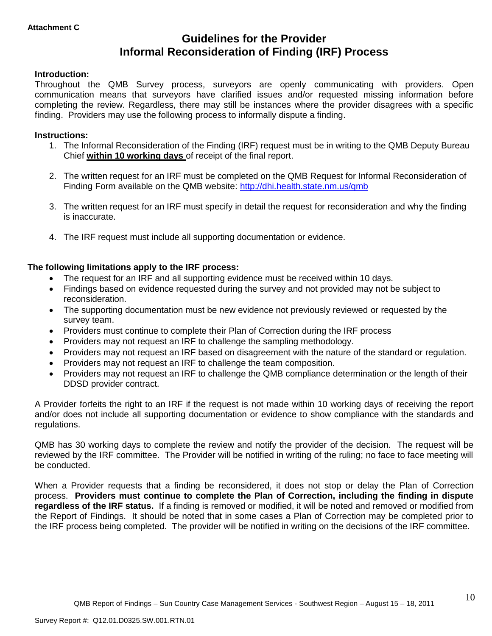## **Guidelines for the Provider Informal Reconsideration of Finding (IRF) Process**

## **Introduction:**

Throughout the QMB Survey process, surveyors are openly communicating with providers. Open communication means that surveyors have clarified issues and/or requested missing information before completing the review. Regardless, there may still be instances where the provider disagrees with a specific finding. Providers may use the following process to informally dispute a finding.

#### **Instructions:**

- 1. The Informal Reconsideration of the Finding (IRF) request must be in writing to the QMB Deputy Bureau Chief **within 10 working days** of receipt of the final report.
- 2. The written request for an IRF must be completed on the QMB Request for Informal Reconsideration of Finding Form available on the QMB website:<http://dhi.health.state.nm.us/qmb>
- 3. The written request for an IRF must specify in detail the request for reconsideration and why the finding is inaccurate.
- 4. The IRF request must include all supporting documentation or evidence.

## **The following limitations apply to the IRF process:**

- The request for an IRF and all supporting evidence must be received within 10 days.
- Findings based on evidence requested during the survey and not provided may not be subject to reconsideration.
- The supporting documentation must be new evidence not previously reviewed or requested by the survey team.
- Providers must continue to complete their Plan of Correction during the IRF process
- Providers may not request an IRF to challenge the sampling methodology.
- Providers may not request an IRF based on disagreement with the nature of the standard or regulation.
- Providers may not request an IRF to challenge the team composition.
- Providers may not request an IRF to challenge the QMB compliance determination or the length of their DDSD provider contract.

A Provider forfeits the right to an IRF if the request is not made within 10 working days of receiving the report and/or does not include all supporting documentation or evidence to show compliance with the standards and regulations.

QMB has 30 working days to complete the review and notify the provider of the decision. The request will be reviewed by the IRF committee. The Provider will be notified in writing of the ruling; no face to face meeting will be conducted.

When a Provider requests that a finding be reconsidered, it does not stop or delay the Plan of Correction process. **Providers must continue to complete the Plan of Correction, including the finding in dispute regardless of the IRF status.** If a finding is removed or modified, it will be noted and removed or modified from the Report of Findings. It should be noted that in some cases a Plan of Correction may be completed prior to the IRF process being completed. The provider will be notified in writing on the decisions of the IRF committee.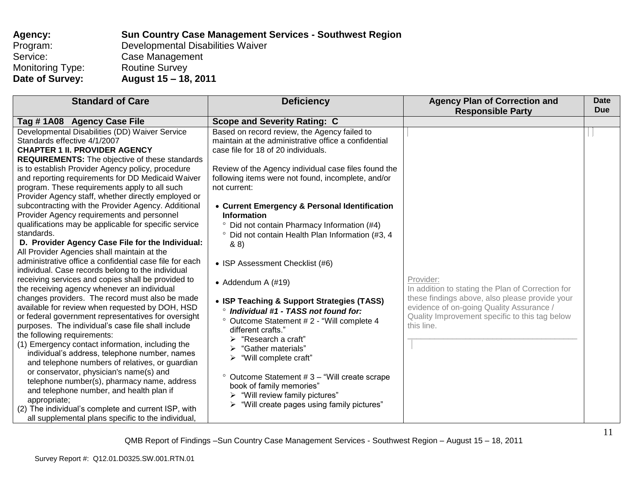| Agency:          | <b>Sun Country Case Management Services - Southwest Region</b> |
|------------------|----------------------------------------------------------------|
| Program:         | Developmental Disabilities Waiver                              |
| Service:         | Case Management                                                |
| Monitoring Type: | <b>Routine Survey</b>                                          |
| Date of Survey:  | August 15 – 18, 2011                                           |

| <b>Standard of Care</b>                                 | <b>Deficiency</b>                                          | <b>Agency Plan of Correction and</b>              | Date<br><b>Due</b> |
|---------------------------------------------------------|------------------------------------------------------------|---------------------------------------------------|--------------------|
|                                                         |                                                            | <b>Responsible Party</b>                          |                    |
| Tag #1A08 Agency Case File                              | <b>Scope and Severity Rating: C</b>                        |                                                   |                    |
| Developmental Disabilities (DD) Waiver Service          | Based on record review, the Agency failed to               |                                                   |                    |
| Standards effective 4/1/2007                            | maintain at the administrative office a confidential       |                                                   |                    |
| <b>CHAPTER 1 II. PROVIDER AGENCY</b>                    | case file for 18 of 20 individuals.                        |                                                   |                    |
| <b>REQUIREMENTS:</b> The objective of these standards   |                                                            |                                                   |                    |
| is to establish Provider Agency policy, procedure       | Review of the Agency individual case files found the       |                                                   |                    |
| and reporting requirements for DD Medicaid Waiver       | following items were not found, incomplete, and/or         |                                                   |                    |
| program. These requirements apply to all such           | not current:                                               |                                                   |                    |
| Provider Agency staff, whether directly employed or     |                                                            |                                                   |                    |
| subcontracting with the Provider Agency. Additional     | • Current Emergency & Personal Identification              |                                                   |                    |
| Provider Agency requirements and personnel              | <b>Information</b>                                         |                                                   |                    |
| qualifications may be applicable for specific service   | <sup>o</sup> Did not contain Pharmacy Information (#4)     |                                                   |                    |
| standards.                                              | ° Did not contain Health Plan Information (#3, 4           |                                                   |                    |
| D. Provider Agency Case File for the Individual:        | 88)                                                        |                                                   |                    |
| All Provider Agencies shall maintain at the             |                                                            |                                                   |                    |
| administrative office a confidential case file for each | • ISP Assessment Checklist (#6)                            |                                                   |                    |
| individual. Case records belong to the individual       |                                                            |                                                   |                    |
| receiving services and copies shall be provided to      | $\bullet$ Addendum A (#19)                                 | Provider:                                         |                    |
| the receiving agency whenever an individual             |                                                            | In addition to stating the Plan of Correction for |                    |
| changes providers. The record must also be made         | • ISP Teaching & Support Strategies (TASS)                 | these findings above, also please provide your    |                    |
| available for review when requested by DOH, HSD         | Individual #1 - TASS not found for:<br>$\circ$             | evidence of on-going Quality Assurance /          |                    |
| or federal government representatives for oversight     | <sup>o</sup> Outcome Statement # 2 - "Will complete 4      | Quality Improvement specific to this tag below    |                    |
| purposes. The individual's case file shall include      | different crafts."                                         | this line.                                        |                    |
| the following requirements:                             | $\triangleright$ "Research a craft"                        |                                                   |                    |
| (1) Emergency contact information, including the        | "Gather materials"<br>➤                                    |                                                   |                    |
| individual's address, telephone number, names           | $\triangleright$ "Will complete craft"                     |                                                   |                    |
| and telephone numbers of relatives, or guardian         |                                                            |                                                   |                    |
| or conservator, physician's name(s) and                 | Outcome Statement # 3 - "Will create scrape<br>$\circ$     |                                                   |                    |
| telephone number(s), pharmacy name, address             | book of family memories"                                   |                                                   |                    |
| and telephone number, and health plan if                | $\triangleright$ "Will review family pictures"             |                                                   |                    |
| appropriate;                                            | $\triangleright$ "Will create pages using family pictures" |                                                   |                    |
| (2) The individual's complete and current ISP, with     |                                                            |                                                   |                    |
| all supplemental plans specific to the individual,      |                                                            |                                                   |                    |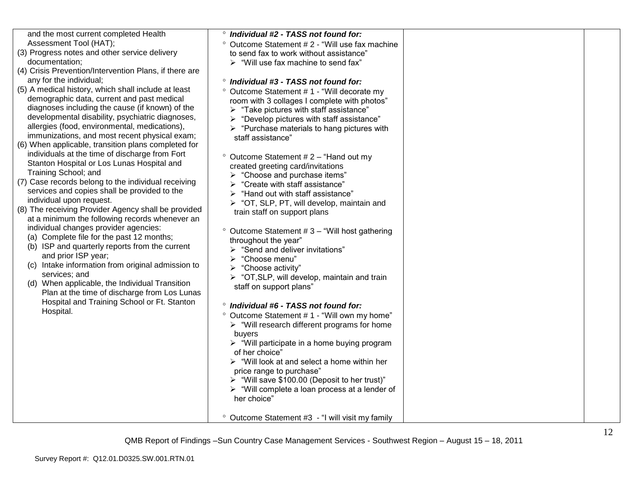| and the most current completed Health<br>Assessment Tool (HAT);<br>(3) Progress notes and other service delivery<br>documentation;<br>(4) Crisis Prevention/Intervention Plans, if there are<br>any for the individual;<br>(5) A medical history, which shall include at least<br>demographic data, current and past medical<br>diagnoses including the cause (if known) of the<br>developmental disability, psychiatric diagnoses,<br>allergies (food, environmental, medications),<br>immunizations, and most recent physical exam;<br>(6) When applicable, transition plans completed for<br>individuals at the time of discharge from Fort<br>Stanton Hospital or Los Lunas Hospital and<br>Training School; and<br>(7) Case records belong to the individual receiving<br>services and copies shall be provided to the<br>individual upon request.<br>(8) The receiving Provider Agency shall be provided<br>at a minimum the following records whenever an<br>individual changes provider agencies:<br>(a) Complete file for the past 12 months;<br>(b) ISP and quarterly reports from the current<br>and prior ISP year;<br>(c) Intake information from original admission to<br>services; and<br>(d) When applicable, the Individual Transition<br>Plan at the time of discharge from Los Lunas<br>Hospital and Training School or Ft. Stanton<br>Hospital. | <sup>o</sup> Individual #2 - TASS not found for:<br><sup>o</sup> Outcome Statement # 2 - "Will use fax machine<br>to send fax to work without assistance"<br>$\triangleright$ "Will use fax machine to send fax"<br><sup>o</sup> Individual #3 - TASS not found for:<br>Outcome Statement #1 - "Will decorate my<br>room with 3 collages I complete with photos"<br>$\triangleright$ "Take pictures with staff assistance"<br>$\triangleright$ "Develop pictures with staff assistance"<br>$\triangleright$ "Purchase materials to hang pictures with<br>staff assistance"<br>Outcome Statement #2 - "Hand out my<br>created greeting card/invitations<br>> "Choose and purchase items"<br>$\triangleright$ "Create with staff assistance"<br>$\triangleright$ "Hand out with staff assistance"<br>$\triangleright$ "OT, SLP, PT, will develop, maintain and<br>train staff on support plans<br><sup>o</sup> Outcome Statement # 3 - "Will host gathering<br>throughout the year"<br>> "Send and deliver invitations"<br>> "Choose menu"<br>"Choose activity"<br>➤<br>$\triangleright$ "OT, SLP, will develop, maintain and train<br>staff on support plans"<br><sup>o</sup> Individual #6 - TASS not found for:<br>° Outcome Statement #1 - "Will own my home"<br>$\triangleright$ "Will research different programs for home<br>buyers<br>$\triangleright$ "Will participate in a home buying program<br>of her choice"<br>$\triangleright$ "Will look at and select a home within her<br>price range to purchase"<br>> "Will save \$100.00 (Deposit to her trust)"<br>$\triangleright$ "Will complete a loan process at a lender of<br>her choice"<br><sup>o</sup> Outcome Statement #3 - "I will visit my family |  |
|---------------------------------------------------------------------------------------------------------------------------------------------------------------------------------------------------------------------------------------------------------------------------------------------------------------------------------------------------------------------------------------------------------------------------------------------------------------------------------------------------------------------------------------------------------------------------------------------------------------------------------------------------------------------------------------------------------------------------------------------------------------------------------------------------------------------------------------------------------------------------------------------------------------------------------------------------------------------------------------------------------------------------------------------------------------------------------------------------------------------------------------------------------------------------------------------------------------------------------------------------------------------------------------------------------------------------------------------------------------------|----------------------------------------------------------------------------------------------------------------------------------------------------------------------------------------------------------------------------------------------------------------------------------------------------------------------------------------------------------------------------------------------------------------------------------------------------------------------------------------------------------------------------------------------------------------------------------------------------------------------------------------------------------------------------------------------------------------------------------------------------------------------------------------------------------------------------------------------------------------------------------------------------------------------------------------------------------------------------------------------------------------------------------------------------------------------------------------------------------------------------------------------------------------------------------------------------------------------------------------------------------------------------------------------------------------------------------------------------------------------------------------------------------------------------------------------------------------------------------------------------------------------------------------------------------------------------------------------------------------------------------------------------------------------------------------------------------------------|--|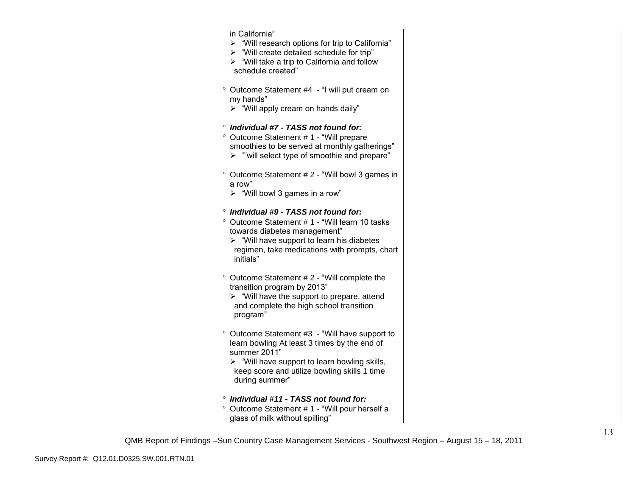| in California"<br>$\triangleright$ "Will research options for trip to California"<br>$\triangleright$ "Will create detailed schedule for trip"<br>$\triangleright$ "Will take a trip to California and follow<br>schedule created"                                       |  |
|--------------------------------------------------------------------------------------------------------------------------------------------------------------------------------------------------------------------------------------------------------------------------|--|
| ° Outcome Statement #4 - "I will put cream on<br>my hands"<br>> "Will apply cream on hands daily"                                                                                                                                                                        |  |
| <sup>o</sup> Individual #7 - TASS not found for:<br>° Outcome Statement # 1 - "Will prepare<br>smoothies to be served at monthly gatherings"<br>$\triangleright$ ""will select type of smoothie and prepare"                                                             |  |
| ° Outcome Statement # 2 - "Will bowl 3 games in<br>a row"<br>$\triangleright$ "Will bowl 3 games in a row"                                                                                                                                                               |  |
| <sup>o</sup> Individual #9 - TASS not found for:<br><sup>o</sup> Outcome Statement #1 - "Will learn 10 tasks<br>towards diabetes management"<br>$\triangleright$ "Will have support to learn his diabetes"<br>regimen, take medications with prompts, chart<br>initials" |  |
| ° Outcome Statement #2 - "Will complete the<br>transition program by 2013"<br>$\triangleright$ "Will have the support to prepare, attend<br>and complete the high school transition<br>program"                                                                          |  |
| ° Outcome Statement #3 - "Will have support to<br>learn bowling At least 3 times by the end of<br>summer 2011"<br>$\triangleright$ "Will have support to learn bowling skills,<br>keep score and utilize bowling skills 1 time<br>during summer"                         |  |
| <sup>o</sup> Individual #11 - TASS not found for:<br>° Outcome Statement # 1 - "Will pour herself a<br>glass of milk without spilling"                                                                                                                                   |  |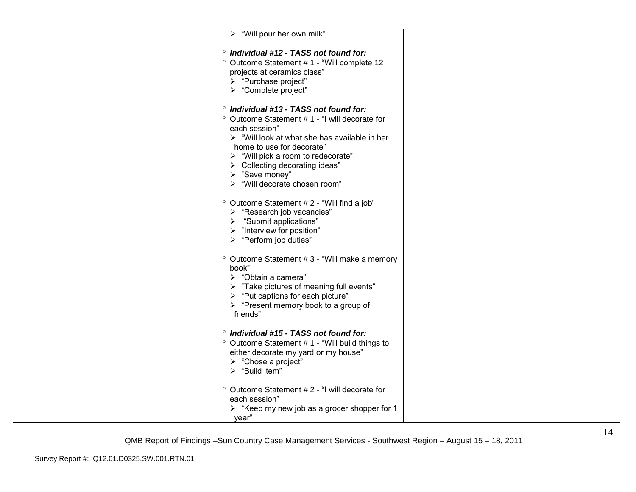| > "Will pour her own milk"                                                    |  |
|-------------------------------------------------------------------------------|--|
| <sup>o</sup> Individual #12 - TASS not found for:                             |  |
| ° Outcome Statement # 1 - "Will complete 12                                   |  |
| projects at ceramics class"                                                   |  |
| > "Purchase project"                                                          |  |
| > "Complete project"                                                          |  |
| ° Individual #13 - TASS not found for:                                        |  |
|                                                                               |  |
| ° Outcome Statement #1 - "I will decorate for                                 |  |
| each session"<br>$\triangleright$ "Will look at what she has available in her |  |
| home to use for decorate"                                                     |  |
| $\triangleright$ "Will pick a room to redecorate"                             |  |
| > Collecting decorating ideas"                                                |  |
| $\triangleright$ "Save money"                                                 |  |
| > "Will decorate chosen room"                                                 |  |
|                                                                               |  |
| ° Outcome Statement # 2 - "Will find a job"                                   |  |
| > "Research job vacancies"                                                    |  |
| "Submit applications"<br>➤                                                    |  |
| $\triangleright$ "Interview for position"                                     |  |
| > "Perform job duties"                                                        |  |
|                                                                               |  |
| ° Outcome Statement # 3 - "Will make a memory<br>book"                        |  |
| > "Obtain a camera"                                                           |  |
| > "Take pictures of meaning full events"                                      |  |
| > "Put captions for each picture"                                             |  |
| > "Present memory book to a group of                                          |  |
| friends"                                                                      |  |
|                                                                               |  |
| <sup>o</sup> Individual #15 - TASS not found for:                             |  |
| ° Outcome Statement #1 - "Will build things to                                |  |
| either decorate my yard or my house"                                          |  |
| > "Chose a project"                                                           |  |
| $\triangleright$ "Build item"                                                 |  |
| ° Outcome Statement # 2 - "I will decorate for                                |  |
| each session"                                                                 |  |
| $\triangleright$ "Keep my new job as a grocer shopper for 1                   |  |
| year"                                                                         |  |
|                                                                               |  |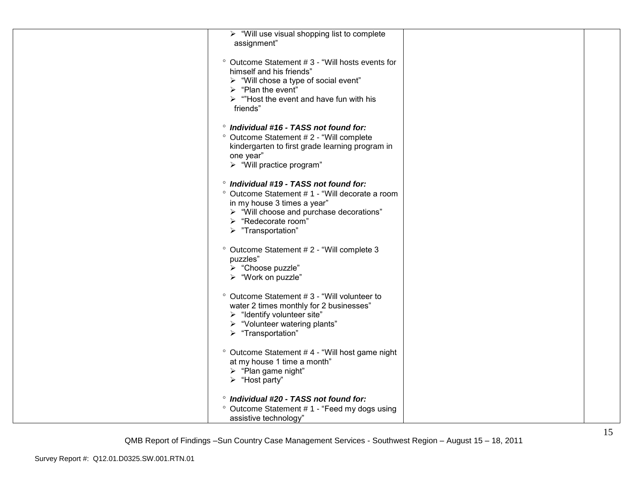| $\triangleright$ "Will use visual shopping list to complete |  |
|-------------------------------------------------------------|--|
| assignment"                                                 |  |
|                                                             |  |
| ° Outcome Statement #3 - "Will hosts events for             |  |
| himself and his friends"                                    |  |
| > "Will chose a type of social event"                       |  |
| $\triangleright$ "Plan the event"                           |  |
| $\triangleright$ "Host the event and have fun with his      |  |
| friends"                                                    |  |
|                                                             |  |
| <sup>o</sup> Individual #16 - TASS not found for:           |  |
| <sup>o</sup> Outcome Statement # 2 - "Will complete         |  |
| kindergarten to first grade learning program in             |  |
| one year"                                                   |  |
| > "Will practice program"                                   |  |
|                                                             |  |
| <sup>o</sup> Individual #19 - TASS not found for:           |  |
| ° Outcome Statement # 1 - "Will decorate a room             |  |
| in my house 3 times a year"                                 |  |
| > "Will choose and purchase decorations"                    |  |
| > "Redecorate room"                                         |  |
| $\triangleright$ "Transportation"                           |  |
|                                                             |  |
| <sup>o</sup> Outcome Statement # 2 - "Will complete 3       |  |
| puzzles"                                                    |  |
| > "Choose puzzle"                                           |  |
| > "Work on puzzle"                                          |  |
|                                                             |  |
| ° Outcome Statement #3 - "Will volunteer to                 |  |
| water 2 times monthly for 2 businesses"                     |  |
| $\triangleright$ "Identify volunteer site"                  |  |
| > "Volunteer watering plants"                               |  |
| > "Transportation"                                          |  |
|                                                             |  |
| ° Outcome Statement #4 - "Will host game night              |  |
| at my house 1 time a month"                                 |  |
| $\triangleright$ "Plan game night"                          |  |
| $\triangleright$ "Host party"                               |  |
|                                                             |  |
| <sup>o</sup> Individual #20 - TASS not found for:           |  |
| ° Outcome Statement #1 - "Feed my dogs using                |  |
| assistive technology"                                       |  |
|                                                             |  |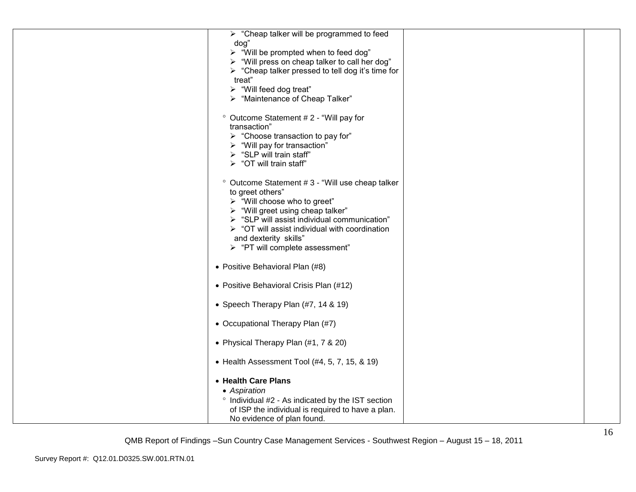| $\triangleright$ "Cheap talker will be programmed to feed<br>dog"<br>> "Will be prompted when to feed dog"<br>> "Will press on cheap talker to call her dog"<br>$\triangleright$ "Cheap talker pressed to tell dog it's time for<br>treat"<br>$\triangleright$ "Will feed dog treat"<br>> "Maintenance of Cheap Talker"               |  |
|---------------------------------------------------------------------------------------------------------------------------------------------------------------------------------------------------------------------------------------------------------------------------------------------------------------------------------------|--|
| ° Outcome Statement # 2 - "Will pay for<br>transaction"<br>$\triangleright$ "Choose transaction to pay for"<br>$\triangleright$ "Will pay for transaction"<br>$\triangleright$ "SLP will train staff"<br>$\triangleright$ "OT will train staff"                                                                                       |  |
| ° Outcome Statement # 3 - "Will use cheap talker<br>to greet others"<br>> "Will choose who to greet"<br>> "Will greet using cheap talker"<br>$\triangleright$ "SLP will assist individual communication"<br>$\triangleright$ "OT will assist individual with coordination<br>and dexterity skills"<br>> "PT will complete assessment" |  |
| • Positive Behavioral Plan (#8)                                                                                                                                                                                                                                                                                                       |  |
| • Positive Behavioral Crisis Plan (#12)                                                                                                                                                                                                                                                                                               |  |
| • Speech Therapy Plan (#7, 14 & 19)                                                                                                                                                                                                                                                                                                   |  |
| • Occupational Therapy Plan (#7)                                                                                                                                                                                                                                                                                                      |  |
| • Physical Therapy Plan (#1, 7 & 20)                                                                                                                                                                                                                                                                                                  |  |
| $\bullet$ Health Assessment Tool (#4, 5, 7, 15, & 19)                                                                                                                                                                                                                                                                                 |  |
| • Health Care Plans<br>• Aspiration<br>° Individual #2 - As indicated by the IST section<br>of ISP the individual is required to have a plan.<br>No evidence of plan found.                                                                                                                                                           |  |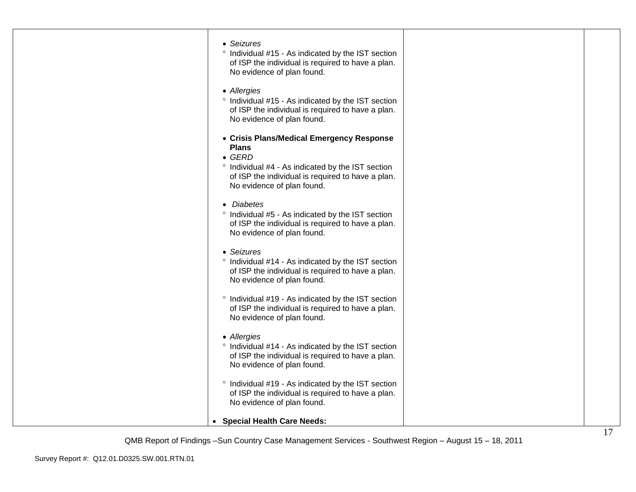| • Seizures<br>° Individual #15 - As indicated by the IST section<br>of ISP the individual is required to have a plan.<br>No evidence of plan found.<br>• Allergies<br>° Individual #15 - As indicated by the IST section<br>of ISP the individual is required to have a plan.<br>No evidence of plan found.<br>• Crisis Plans/Medical Emergency Response<br><b>Plans</b><br>$\bullet$ GERD<br><sup>o</sup> Individual #4 - As indicated by the IST section<br>of ISP the individual is required to have a plan.<br>No evidence of plan found.<br>• Diabetes<br>° Individual #5 - As indicated by the IST section<br>of ISP the individual is required to have a plan.<br>No evidence of plan found.<br>• Seizures<br>° Individual #14 - As indicated by the IST section<br>of ISP the individual is required to have a plan.<br>No evidence of plan found.<br>° Individual #19 - As indicated by the IST section<br>of ISP the individual is required to have a plan.<br>No evidence of plan found.<br>• Allergies<br>° Individual #14 - As indicated by the IST section<br>of ISP the individual is required to have a plan.<br>No evidence of plan found.<br>° Individual #19 - As indicated by the IST section<br>of ISP the individual is required to have a plan.<br>No evidence of plan found.<br>• Special Health Care Needs: |  |  |
|--------------------------------------------------------------------------------------------------------------------------------------------------------------------------------------------------------------------------------------------------------------------------------------------------------------------------------------------------------------------------------------------------------------------------------------------------------------------------------------------------------------------------------------------------------------------------------------------------------------------------------------------------------------------------------------------------------------------------------------------------------------------------------------------------------------------------------------------------------------------------------------------------------------------------------------------------------------------------------------------------------------------------------------------------------------------------------------------------------------------------------------------------------------------------------------------------------------------------------------------------------------------------------------------------------------------------------------|--|--|
|                                                                                                                                                                                                                                                                                                                                                                                                                                                                                                                                                                                                                                                                                                                                                                                                                                                                                                                                                                                                                                                                                                                                                                                                                                                                                                                                      |  |  |
|                                                                                                                                                                                                                                                                                                                                                                                                                                                                                                                                                                                                                                                                                                                                                                                                                                                                                                                                                                                                                                                                                                                                                                                                                                                                                                                                      |  |  |
|                                                                                                                                                                                                                                                                                                                                                                                                                                                                                                                                                                                                                                                                                                                                                                                                                                                                                                                                                                                                                                                                                                                                                                                                                                                                                                                                      |  |  |
|                                                                                                                                                                                                                                                                                                                                                                                                                                                                                                                                                                                                                                                                                                                                                                                                                                                                                                                                                                                                                                                                                                                                                                                                                                                                                                                                      |  |  |
|                                                                                                                                                                                                                                                                                                                                                                                                                                                                                                                                                                                                                                                                                                                                                                                                                                                                                                                                                                                                                                                                                                                                                                                                                                                                                                                                      |  |  |
|                                                                                                                                                                                                                                                                                                                                                                                                                                                                                                                                                                                                                                                                                                                                                                                                                                                                                                                                                                                                                                                                                                                                                                                                                                                                                                                                      |  |  |
|                                                                                                                                                                                                                                                                                                                                                                                                                                                                                                                                                                                                                                                                                                                                                                                                                                                                                                                                                                                                                                                                                                                                                                                                                                                                                                                                      |  |  |
|                                                                                                                                                                                                                                                                                                                                                                                                                                                                                                                                                                                                                                                                                                                                                                                                                                                                                                                                                                                                                                                                                                                                                                                                                                                                                                                                      |  |  |
|                                                                                                                                                                                                                                                                                                                                                                                                                                                                                                                                                                                                                                                                                                                                                                                                                                                                                                                                                                                                                                                                                                                                                                                                                                                                                                                                      |  |  |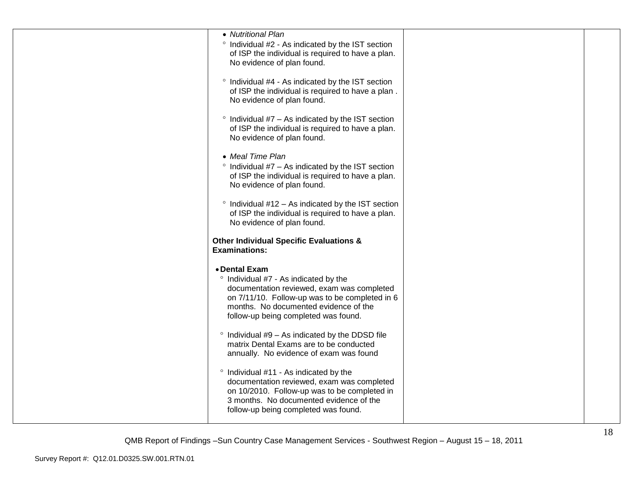| • Nutritional Plan<br>° Individual #2 - As indicated by the IST section<br>of ISP the individual is required to have a plan.<br>No evidence of plan found.<br>° Individual #4 - As indicated by the IST section<br>of ISP the individual is required to have a plan. |  |
|----------------------------------------------------------------------------------------------------------------------------------------------------------------------------------------------------------------------------------------------------------------------|--|
| No evidence of plan found.<br>$\degree$ Individual #7 – As indicated by the IST section<br>of ISP the individual is required to have a plan.<br>No evidence of plan found.<br>• Meal Time Plan                                                                       |  |
| $\degree$ Individual #7 - As indicated by the IST section<br>of ISP the individual is required to have a plan.<br>No evidence of plan found.                                                                                                                         |  |
| $\degree$ Individual #12 – As indicated by the IST section<br>of ISP the individual is required to have a plan.<br>No evidence of plan found.<br><b>Other Individual Specific Evaluations &amp;</b>                                                                  |  |
| <b>Examinations:</b>                                                                                                                                                                                                                                                 |  |
| • Dental Exam<br>° Individual #7 - As indicated by the<br>documentation reviewed, exam was completed<br>on 7/11/10. Follow-up was to be completed in 6<br>months. No documented evidence of the<br>follow-up being completed was found.                              |  |
| $\degree$ Individual #9 - As indicated by the DDSD file<br>matrix Dental Exams are to be conducted<br>annually. No evidence of exam was found                                                                                                                        |  |
| ° Individual #11 - As indicated by the<br>documentation reviewed, exam was completed<br>on 10/2010. Follow-up was to be completed in<br>3 months. No documented evidence of the<br>follow-up being completed was found.                                              |  |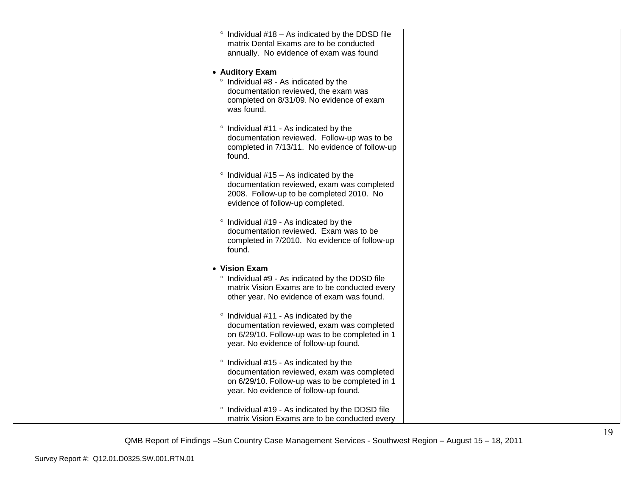| $\degree$ Individual #18 – As indicated by the DDSD file<br>matrix Dental Exams are to be conducted<br>annually. No evidence of exam was found                                  |  |
|---------------------------------------------------------------------------------------------------------------------------------------------------------------------------------|--|
| • Auditory Exam<br>° Individual #8 - As indicated by the<br>documentation reviewed, the exam was<br>completed on 8/31/09. No evidence of exam<br>was found.                     |  |
| ° Individual #11 - As indicated by the<br>documentation reviewed. Follow-up was to be<br>completed in 7/13/11. No evidence of follow-up<br>found.                               |  |
| $\degree$ Individual #15 - As indicated by the<br>documentation reviewed, exam was completed<br>2008. Follow-up to be completed 2010. No<br>evidence of follow-up completed.    |  |
| ° Individual #19 - As indicated by the<br>documentation reviewed. Exam was to be<br>completed in 7/2010. No evidence of follow-up<br>found.                                     |  |
| • Vision Exam<br>° Individual #9 - As indicated by the DDSD file<br>matrix Vision Exams are to be conducted every<br>other year. No evidence of exam was found.                 |  |
| ° Individual #11 - As indicated by the<br>documentation reviewed, exam was completed<br>on 6/29/10. Follow-up was to be completed in 1<br>year. No evidence of follow-up found. |  |
| ° Individual #15 - As indicated by the<br>documentation reviewed, exam was completed<br>on 6/29/10. Follow-up was to be completed in 1<br>year. No evidence of follow-up found. |  |
| ° Individual #19 - As indicated by the DDSD file<br>matrix Vision Exams are to be conducted every                                                                               |  |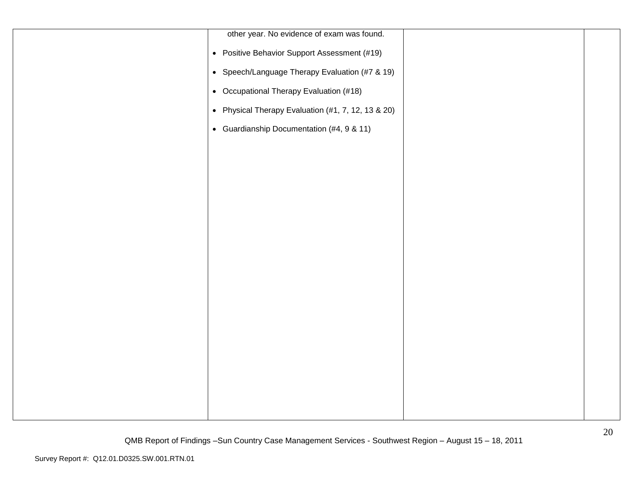| other year. No evidence of exam was found.         |  |
|----------------------------------------------------|--|
| • Positive Behavior Support Assessment (#19)       |  |
| • Speech/Language Therapy Evaluation (#7 & 19)     |  |
| • Occupational Therapy Evaluation (#18)            |  |
| • Physical Therapy Evaluation (#1, 7, 12, 13 & 20) |  |
| • Guardianship Documentation (#4, 9 & 11)          |  |
|                                                    |  |
|                                                    |  |
|                                                    |  |
|                                                    |  |
|                                                    |  |
|                                                    |  |
|                                                    |  |
|                                                    |  |
|                                                    |  |
|                                                    |  |
|                                                    |  |
|                                                    |  |
|                                                    |  |
|                                                    |  |
|                                                    |  |
|                                                    |  |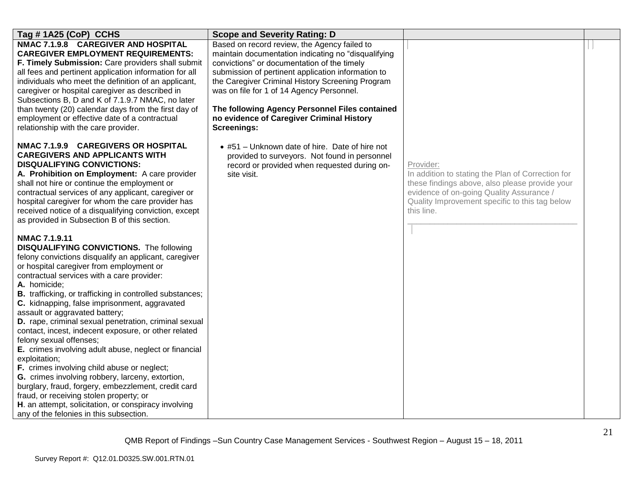| Tag #1A25 (CoP) CCHS                                                                                                                                                                                                                                                                                                                                                                                                                                                                                                                                                                                                                                                                                                                                                                                                                                                                                                           | <b>Scope and Severity Rating: D</b>                                                                                                                                                                                                                                                                                                                                                                                            |                                                                                                                                                                                                                              |  |
|--------------------------------------------------------------------------------------------------------------------------------------------------------------------------------------------------------------------------------------------------------------------------------------------------------------------------------------------------------------------------------------------------------------------------------------------------------------------------------------------------------------------------------------------------------------------------------------------------------------------------------------------------------------------------------------------------------------------------------------------------------------------------------------------------------------------------------------------------------------------------------------------------------------------------------|--------------------------------------------------------------------------------------------------------------------------------------------------------------------------------------------------------------------------------------------------------------------------------------------------------------------------------------------------------------------------------------------------------------------------------|------------------------------------------------------------------------------------------------------------------------------------------------------------------------------------------------------------------------------|--|
| NMAC 7.1.9.8 CAREGIVER AND HOSPITAL<br><b>CAREGIVER EMPLOYMENT REQUIREMENTS:</b><br>F. Timely Submission: Care providers shall submit<br>all fees and pertinent application information for all<br>individuals who meet the definition of an applicant,<br>caregiver or hospital caregiver as described in<br>Subsections B, D and K of 7.1.9.7 NMAC, no later<br>than twenty (20) calendar days from the first day of<br>employment or effective date of a contractual<br>relationship with the care provider.                                                                                                                                                                                                                                                                                                                                                                                                                | Based on record review, the Agency failed to<br>maintain documentation indicating no "disqualifying<br>convictions" or documentation of the timely<br>submission of pertinent application information to<br>the Caregiver Criminal History Screening Program<br>was on file for 1 of 14 Agency Personnel.<br>The following Agency Personnel Files contained<br>no evidence of Caregiver Criminal History<br><b>Screenings:</b> |                                                                                                                                                                                                                              |  |
| NMAC 7.1.9.9 CAREGIVERS OR HOSPITAL<br><b>CAREGIVERS AND APPLICANTS WITH</b><br><b>DISQUALIFYING CONVICTIONS:</b><br>A. Prohibition on Employment: A care provider<br>shall not hire or continue the employment or<br>contractual services of any applicant, caregiver or<br>hospital caregiver for whom the care provider has<br>received notice of a disqualifying conviction, except<br>as provided in Subsection B of this section.                                                                                                                                                                                                                                                                                                                                                                                                                                                                                        | • #51 - Unknown date of hire. Date of hire not<br>provided to surveyors. Not found in personnel<br>record or provided when requested during on-<br>site visit.                                                                                                                                                                                                                                                                 | Provider:<br>In addition to stating the Plan of Correction for<br>these findings above, also please provide your<br>evidence of on-going Quality Assurance /<br>Quality Improvement specific to this tag below<br>this line. |  |
| <b>NMAC 7.1.9.11</b><br><b>DISQUALIFYING CONVICTIONS.</b> The following<br>felony convictions disqualify an applicant, caregiver<br>or hospital caregiver from employment or<br>contractual services with a care provider:<br>A. homicide;<br><b>B.</b> trafficking, or trafficking in controlled substances;<br>C. kidnapping, false imprisonment, aggravated<br>assault or aggravated battery;<br>D. rape, criminal sexual penetration, criminal sexual<br>contact, incest, indecent exposure, or other related<br>felony sexual offenses;<br>E. crimes involving adult abuse, neglect or financial<br>exploitation;<br>F. crimes involving child abuse or neglect;<br>G. crimes involving robbery, larceny, extortion,<br>burglary, fraud, forgery, embezzlement, credit card<br>fraud, or receiving stolen property; or<br>H. an attempt, solicitation, or conspiracy involving<br>any of the felonies in this subsection. |                                                                                                                                                                                                                                                                                                                                                                                                                                |                                                                                                                                                                                                                              |  |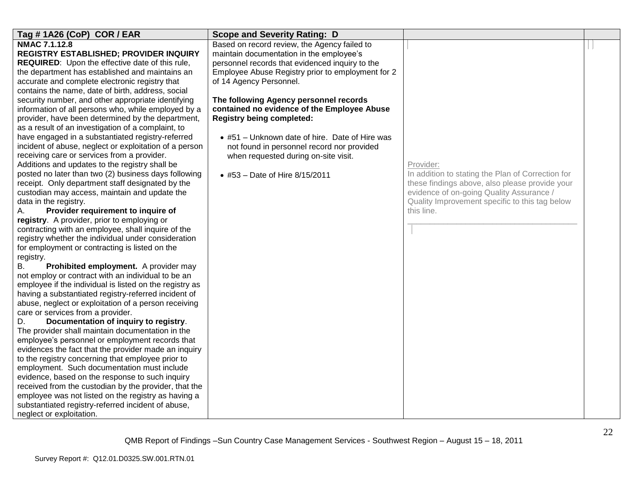| Tag #1A26 (CoP) COR / EAR                                                                                                                                                                                                                                                                                                                                                                                                                                                                                                                                                                                                                                                                                                                                                                                                                                                                                                                                                                                                                                                                                                                                                                                                                                                                                                                                                                                                                                                                                                                                                                                                                                                                                                                                                                                                                                                                                                                                                                                                                                                           | <b>Scope and Severity Rating: D</b>                                                                                                                                                                                                                                                                                                                                                                                                                                                                                                |                                                                                                                                                                                                                              |  |
|-------------------------------------------------------------------------------------------------------------------------------------------------------------------------------------------------------------------------------------------------------------------------------------------------------------------------------------------------------------------------------------------------------------------------------------------------------------------------------------------------------------------------------------------------------------------------------------------------------------------------------------------------------------------------------------------------------------------------------------------------------------------------------------------------------------------------------------------------------------------------------------------------------------------------------------------------------------------------------------------------------------------------------------------------------------------------------------------------------------------------------------------------------------------------------------------------------------------------------------------------------------------------------------------------------------------------------------------------------------------------------------------------------------------------------------------------------------------------------------------------------------------------------------------------------------------------------------------------------------------------------------------------------------------------------------------------------------------------------------------------------------------------------------------------------------------------------------------------------------------------------------------------------------------------------------------------------------------------------------------------------------------------------------------------------------------------------------|------------------------------------------------------------------------------------------------------------------------------------------------------------------------------------------------------------------------------------------------------------------------------------------------------------------------------------------------------------------------------------------------------------------------------------------------------------------------------------------------------------------------------------|------------------------------------------------------------------------------------------------------------------------------------------------------------------------------------------------------------------------------|--|
| <b>NMAC 7.1.12.8</b><br><b>REGISTRY ESTABLISHED; PROVIDER INQUIRY</b><br>REQUIRED: Upon the effective date of this rule,<br>the department has established and maintains an<br>accurate and complete electronic registry that<br>contains the name, date of birth, address, social<br>security number, and other appropriate identifying<br>information of all persons who, while employed by a<br>provider, have been determined by the department,<br>as a result of an investigation of a complaint, to<br>have engaged in a substantiated registry-referred<br>incident of abuse, neglect or exploitation of a person<br>receiving care or services from a provider.<br>Additions and updates to the registry shall be<br>posted no later than two (2) business days following<br>receipt. Only department staff designated by the<br>custodian may access, maintain and update the<br>data in the registry.<br>Provider requirement to inquire of<br>А.<br>registry. A provider, prior to employing or<br>contracting with an employee, shall inquire of the<br>registry whether the individual under consideration<br>for employment or contracting is listed on the<br>registry.<br>Prohibited employment. A provider may<br>В.<br>not employ or contract with an individual to be an<br>employee if the individual is listed on the registry as<br>having a substantiated registry-referred incident of<br>abuse, neglect or exploitation of a person receiving<br>care or services from a provider.<br>Documentation of inquiry to registry.<br>D.<br>The provider shall maintain documentation in the<br>employee's personnel or employment records that<br>evidences the fact that the provider made an inquiry<br>to the registry concerning that employee prior to<br>employment. Such documentation must include<br>evidence, based on the response to such inquiry<br>received from the custodian by the provider, that the<br>employee was not listed on the registry as having a<br>substantiated registry-referred incident of abuse,<br>neglect or exploitation. | Based on record review, the Agency failed to<br>maintain documentation in the employee's<br>personnel records that evidenced inquiry to the<br>Employee Abuse Registry prior to employment for 2<br>of 14 Agency Personnel.<br>The following Agency personnel records<br>contained no evidence of the Employee Abuse<br><b>Registry being completed:</b><br>• #51 - Unknown date of hire. Date of Hire was<br>not found in personnel record nor provided<br>when requested during on-site visit.<br>• #53 - Date of Hire 8/15/2011 | Provider:<br>In addition to stating the Plan of Correction for<br>these findings above, also please provide your<br>evidence of on-going Quality Assurance /<br>Quality Improvement specific to this tag below<br>this line. |  |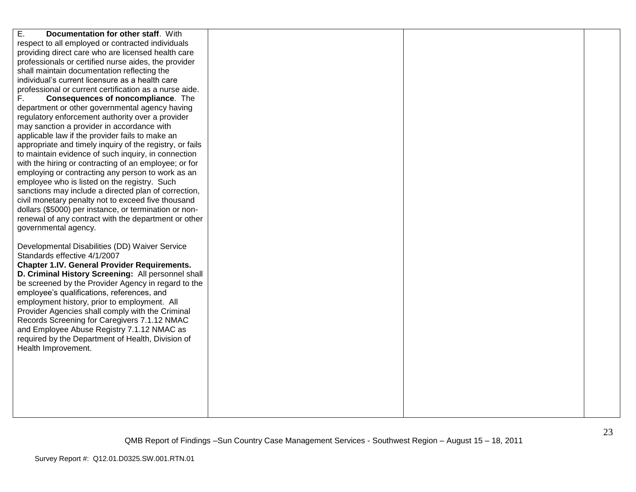| Ε.<br>Documentation for other staff. With                |  |  |
|----------------------------------------------------------|--|--|
|                                                          |  |  |
| respect to all employed or contracted individuals        |  |  |
| providing direct care who are licensed health care       |  |  |
| professionals or certified nurse aides, the provider     |  |  |
| shall maintain documentation reflecting the              |  |  |
| individual's current licensure as a health care          |  |  |
| professional or current certification as a nurse aide.   |  |  |
| F.<br>Consequences of noncompliance. The                 |  |  |
| department or other governmental agency having           |  |  |
| regulatory enforcement authority over a provider         |  |  |
| may sanction a provider in accordance with               |  |  |
| applicable law if the provider fails to make an          |  |  |
| appropriate and timely inquiry of the registry, or fails |  |  |
| to maintain evidence of such inquiry, in connection      |  |  |
| with the hiring or contracting of an employee; or for    |  |  |
| employing or contracting any person to work as an        |  |  |
| employee who is listed on the registry. Such             |  |  |
| sanctions may include a directed plan of correction,     |  |  |
| civil monetary penalty not to exceed five thousand       |  |  |
| dollars (\$5000) per instance, or termination or non-    |  |  |
| renewal of any contract with the department or other     |  |  |
| governmental agency.                                     |  |  |
|                                                          |  |  |
| Developmental Disabilities (DD) Waiver Service           |  |  |
| Standards effective 4/1/2007                             |  |  |
| <b>Chapter 1.IV. General Provider Requirements.</b>      |  |  |
| D. Criminal History Screening: All personnel shall       |  |  |
| be screened by the Provider Agency in regard to the      |  |  |
| employee's qualifications, references, and               |  |  |
| employment history, prior to employment. All             |  |  |
|                                                          |  |  |
| Provider Agencies shall comply with the Criminal         |  |  |
| Records Screening for Caregivers 7.1.12 NMAC             |  |  |
| and Employee Abuse Registry 7.1.12 NMAC as               |  |  |
| required by the Department of Health, Division of        |  |  |
| Health Improvement.                                      |  |  |
|                                                          |  |  |
|                                                          |  |  |
|                                                          |  |  |
|                                                          |  |  |
|                                                          |  |  |
|                                                          |  |  |
|                                                          |  |  |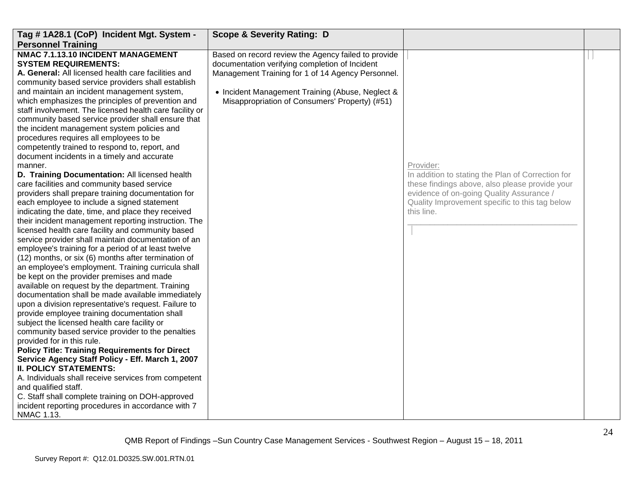| Tag #1A28.1 (CoP) Incident Mgt. System -                | <b>Scope &amp; Severity Rating: D</b>               |                                                   |  |
|---------------------------------------------------------|-----------------------------------------------------|---------------------------------------------------|--|
| <b>Personnel Training</b>                               |                                                     |                                                   |  |
| NMAC 7.1.13.10 INCIDENT MANAGEMENT                      | Based on record review the Agency failed to provide |                                                   |  |
| <b>SYSTEM REQUIREMENTS:</b>                             | documentation verifying completion of Incident      |                                                   |  |
| A. General: All licensed health care facilities and     | Management Training for 1 of 14 Agency Personnel.   |                                                   |  |
| community based service providers shall establish       |                                                     |                                                   |  |
| and maintain an incident management system,             | • Incident Management Training (Abuse, Neglect &    |                                                   |  |
| which emphasizes the principles of prevention and       | Misappropriation of Consumers' Property) (#51)      |                                                   |  |
| staff involvement. The licensed health care facility or |                                                     |                                                   |  |
| community based service provider shall ensure that      |                                                     |                                                   |  |
| the incident management system policies and             |                                                     |                                                   |  |
| procedures requires all employees to be                 |                                                     |                                                   |  |
| competently trained to respond to, report, and          |                                                     |                                                   |  |
| document incidents in a timely and accurate             |                                                     |                                                   |  |
| manner.                                                 |                                                     | Provider:                                         |  |
| D. Training Documentation: All licensed health          |                                                     | In addition to stating the Plan of Correction for |  |
| care facilities and community based service             |                                                     | these findings above, also please provide your    |  |
| providers shall prepare training documentation for      |                                                     | evidence of on-going Quality Assurance /          |  |
| each employee to include a signed statement             |                                                     | Quality Improvement specific to this tag below    |  |
| indicating the date, time, and place they received      |                                                     | this line.                                        |  |
| their incident management reporting instruction. The    |                                                     |                                                   |  |
| licensed health care facility and community based       |                                                     |                                                   |  |
| service provider shall maintain documentation of an     |                                                     |                                                   |  |
| employee's training for a period of at least twelve     |                                                     |                                                   |  |
| (12) months, or six (6) months after termination of     |                                                     |                                                   |  |
| an employee's employment. Training curricula shall      |                                                     |                                                   |  |
| be kept on the provider premises and made               |                                                     |                                                   |  |
| available on request by the department. Training        |                                                     |                                                   |  |
| documentation shall be made available immediately       |                                                     |                                                   |  |
| upon a division representative's request. Failure to    |                                                     |                                                   |  |
| provide employee training documentation shall           |                                                     |                                                   |  |
| subject the licensed health care facility or            |                                                     |                                                   |  |
| community based service provider to the penalties       |                                                     |                                                   |  |
| provided for in this rule.                              |                                                     |                                                   |  |
| <b>Policy Title: Training Requirements for Direct</b>   |                                                     |                                                   |  |
| Service Agency Staff Policy - Eff. March 1, 2007        |                                                     |                                                   |  |
| <b>II. POLICY STATEMENTS:</b>                           |                                                     |                                                   |  |
| A. Individuals shall receive services from competent    |                                                     |                                                   |  |
| and qualified staff.                                    |                                                     |                                                   |  |
| C. Staff shall complete training on DOH-approved        |                                                     |                                                   |  |
| incident reporting procedures in accordance with 7      |                                                     |                                                   |  |
| NMAC 1.13.                                              |                                                     |                                                   |  |
|                                                         |                                                     |                                                   |  |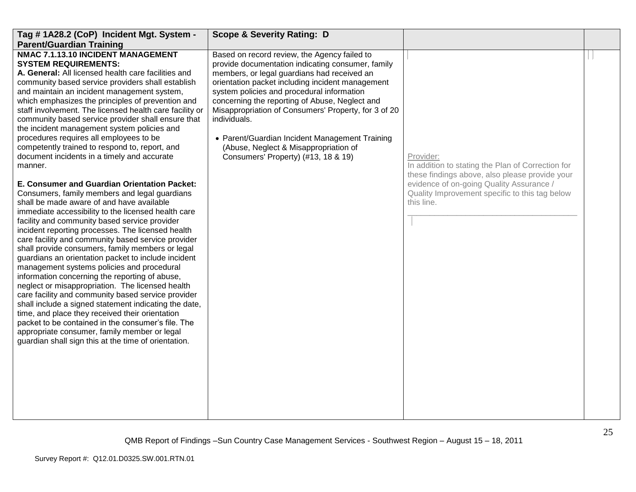| Tag #1A28.2 (CoP) Incident Mgt. System -<br><b>Parent/Guardian Training</b>                                                                                                                                                                                                                                                                                                                                                                                                                                                                                                                                                                                                                                                                                                                                                                                                                                                                                                                                                                                                                                                                                                                                                                                                                                                                                                                                                                                                                                                                                              | <b>Scope &amp; Severity Rating: D</b>                                                                                                                                                                                                                                                                                                                                                                                                                                                                          |                                                                                                                                                                                                                              |  |
|--------------------------------------------------------------------------------------------------------------------------------------------------------------------------------------------------------------------------------------------------------------------------------------------------------------------------------------------------------------------------------------------------------------------------------------------------------------------------------------------------------------------------------------------------------------------------------------------------------------------------------------------------------------------------------------------------------------------------------------------------------------------------------------------------------------------------------------------------------------------------------------------------------------------------------------------------------------------------------------------------------------------------------------------------------------------------------------------------------------------------------------------------------------------------------------------------------------------------------------------------------------------------------------------------------------------------------------------------------------------------------------------------------------------------------------------------------------------------------------------------------------------------------------------------------------------------|----------------------------------------------------------------------------------------------------------------------------------------------------------------------------------------------------------------------------------------------------------------------------------------------------------------------------------------------------------------------------------------------------------------------------------------------------------------------------------------------------------------|------------------------------------------------------------------------------------------------------------------------------------------------------------------------------------------------------------------------------|--|
| NMAC 7.1.13.10 INCIDENT MANAGEMENT<br><b>SYSTEM REQUIREMENTS:</b><br>A. General: All licensed health care facilities and<br>community based service providers shall establish<br>and maintain an incident management system,<br>which emphasizes the principles of prevention and<br>staff involvement. The licensed health care facility or<br>community based service provider shall ensure that<br>the incident management system policies and<br>procedures requires all employees to be<br>competently trained to respond to, report, and<br>document incidents in a timely and accurate<br>manner.<br>E. Consumer and Guardian Orientation Packet:<br>Consumers, family members and legal guardians<br>shall be made aware of and have available<br>immediate accessibility to the licensed health care<br>facility and community based service provider<br>incident reporting processes. The licensed health<br>care facility and community based service provider<br>shall provide consumers, family members or legal<br>guardians an orientation packet to include incident<br>management systems policies and procedural<br>information concerning the reporting of abuse,<br>neglect or misappropriation. The licensed health<br>care facility and community based service provider<br>shall include a signed statement indicating the date,<br>time, and place they received their orientation<br>packet to be contained in the consumer's file. The<br>appropriate consumer, family member or legal<br>guardian shall sign this at the time of orientation. | Based on record review, the Agency failed to<br>provide documentation indicating consumer, family<br>members, or legal guardians had received an<br>orientation packet including incident management<br>system policies and procedural information<br>concerning the reporting of Abuse, Neglect and<br>Misappropriation of Consumers' Property, for 3 of 20<br>individuals.<br>• Parent/Guardian Incident Management Training<br>(Abuse, Neglect & Misappropriation of<br>Consumers' Property) (#13, 18 & 19) | Provider:<br>In addition to stating the Plan of Correction for<br>these findings above, also please provide your<br>evidence of on-going Quality Assurance /<br>Quality Improvement specific to this tag below<br>this line. |  |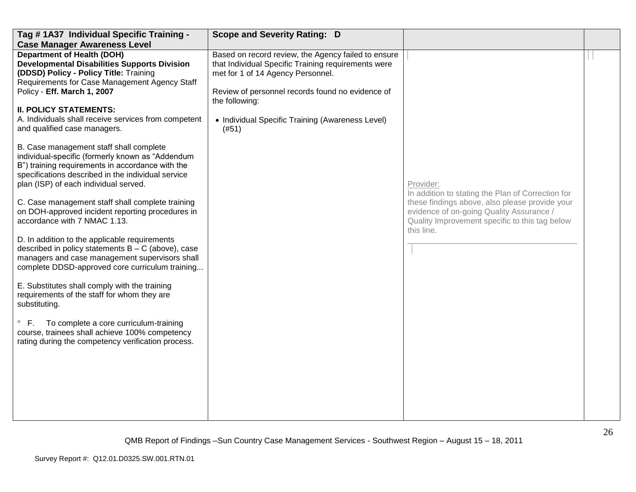| Tag #1A37 Individual Specific Training -                                                                                                                                                                                                       | <b>Scope and Severity Rating: D</b>                                                                                                                                                                 |                                                                                                                                                            |  |
|------------------------------------------------------------------------------------------------------------------------------------------------------------------------------------------------------------------------------------------------|-----------------------------------------------------------------------------------------------------------------------------------------------------------------------------------------------------|------------------------------------------------------------------------------------------------------------------------------------------------------------|--|
| <b>Case Manager Awareness Level</b>                                                                                                                                                                                                            |                                                                                                                                                                                                     |                                                                                                                                                            |  |
| <b>Department of Health (DOH)</b><br><b>Developmental Disabilities Supports Division</b><br>(DDSD) Policy - Policy Title: Training<br>Requirements for Case Management Agency Staff<br>Policy - Eff. March 1, 2007                             | Based on record review, the Agency failed to ensure<br>that Individual Specific Training requirements were<br>met for 1 of 14 Agency Personnel.<br>Review of personnel records found no evidence of |                                                                                                                                                            |  |
| <b>II. POLICY STATEMENTS:</b>                                                                                                                                                                                                                  | the following:                                                                                                                                                                                      |                                                                                                                                                            |  |
| A. Individuals shall receive services from competent<br>and qualified case managers.                                                                                                                                                           | • Individual Specific Training (Awareness Level)<br>(#51)                                                                                                                                           |                                                                                                                                                            |  |
| B. Case management staff shall complete<br>individual-specific (formerly known as "Addendum<br>B") training requirements in accordance with the<br>specifications described in the individual service<br>plan (ISP) of each individual served. |                                                                                                                                                                                                     | Provider:<br>In addition to stating the Plan of Correction for                                                                                             |  |
| C. Case management staff shall complete training<br>on DOH-approved incident reporting procedures in<br>accordance with 7 NMAC 1.13.                                                                                                           |                                                                                                                                                                                                     | these findings above, also please provide your<br>evidence of on-going Quality Assurance /<br>Quality Improvement specific to this tag below<br>this line. |  |
| D. In addition to the applicable requirements<br>described in policy statements $B - C$ (above), case<br>managers and case management supervisors shall<br>complete DDSD-approved core curriculum training                                     |                                                                                                                                                                                                     |                                                                                                                                                            |  |
| E. Substitutes shall comply with the training<br>requirements of the staff for whom they are<br>substituting.                                                                                                                                  |                                                                                                                                                                                                     |                                                                                                                                                            |  |
| $\circ$<br>F.<br>To complete a core curriculum-training<br>course, trainees shall achieve 100% competency<br>rating during the competency verification process.                                                                                |                                                                                                                                                                                                     |                                                                                                                                                            |  |
|                                                                                                                                                                                                                                                |                                                                                                                                                                                                     |                                                                                                                                                            |  |
|                                                                                                                                                                                                                                                |                                                                                                                                                                                                     |                                                                                                                                                            |  |
|                                                                                                                                                                                                                                                |                                                                                                                                                                                                     |                                                                                                                                                            |  |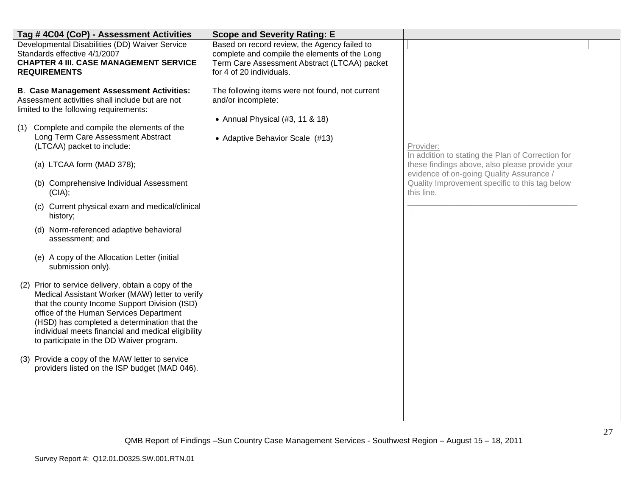| Tag # 4C04 (CoP) - Assessment Activities                                                                                                                                                                                                                                                                                                                                                                                                                                                                                                                                                                                                                                                                                                                                                                                                                                                                                                                                                                            | <b>Scope and Severity Rating: E</b>                                                                                                                                       |                                                                                                                                                                                                                              |  |
|---------------------------------------------------------------------------------------------------------------------------------------------------------------------------------------------------------------------------------------------------------------------------------------------------------------------------------------------------------------------------------------------------------------------------------------------------------------------------------------------------------------------------------------------------------------------------------------------------------------------------------------------------------------------------------------------------------------------------------------------------------------------------------------------------------------------------------------------------------------------------------------------------------------------------------------------------------------------------------------------------------------------|---------------------------------------------------------------------------------------------------------------------------------------------------------------------------|------------------------------------------------------------------------------------------------------------------------------------------------------------------------------------------------------------------------------|--|
| Developmental Disabilities (DD) Waiver Service<br>Standards effective 4/1/2007<br><b>CHAPTER 4 III. CASE MANAGEMENT SERVICE</b><br><b>REQUIREMENTS</b>                                                                                                                                                                                                                                                                                                                                                                                                                                                                                                                                                                                                                                                                                                                                                                                                                                                              | Based on record review, the Agency failed to<br>complete and compile the elements of the Long<br>Term Care Assessment Abstract (LTCAA) packet<br>for 4 of 20 individuals. |                                                                                                                                                                                                                              |  |
| <b>B. Case Management Assessment Activities:</b><br>Assessment activities shall include but are not<br>limited to the following requirements:<br>Complete and compile the elements of the<br>(1)<br>Long Term Care Assessment Abstract<br>(LTCAA) packet to include:<br>(a) LTCAA form (MAD 378);<br>(b) Comprehensive Individual Assessment<br>(CIA);<br>(c) Current physical exam and medical/clinical<br>history;<br>(d) Norm-referenced adaptive behavioral<br>assessment; and<br>(e) A copy of the Allocation Letter (initial<br>submission only).<br>(2) Prior to service delivery, obtain a copy of the<br>Medical Assistant Worker (MAW) letter to verify<br>that the county Income Support Division (ISD)<br>office of the Human Services Department<br>(HSD) has completed a determination that the<br>individual meets financial and medical eligibility<br>to participate in the DD Waiver program.<br>(3) Provide a copy of the MAW letter to service<br>providers listed on the ISP budget (MAD 046). | The following items were not found, not current<br>and/or incomplete:<br>• Annual Physical (#3, 11 & 18)<br>• Adaptive Behavior Scale (#13)                               | Provider:<br>In addition to stating the Plan of Correction for<br>these findings above, also please provide your<br>evidence of on-going Quality Assurance /<br>Quality Improvement specific to this tag below<br>this line. |  |
|                                                                                                                                                                                                                                                                                                                                                                                                                                                                                                                                                                                                                                                                                                                                                                                                                                                                                                                                                                                                                     |                                                                                                                                                                           |                                                                                                                                                                                                                              |  |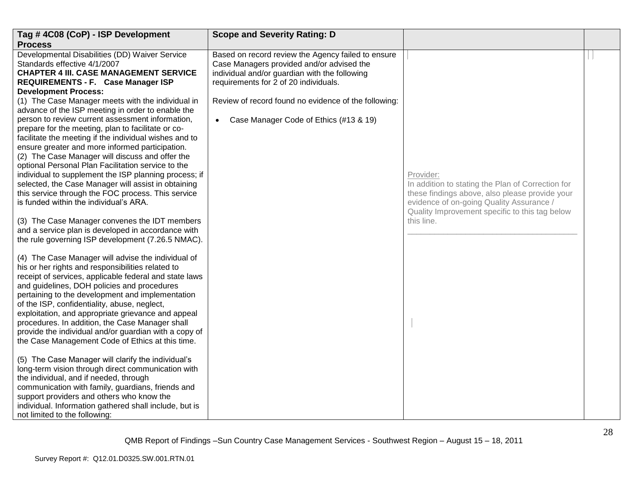| Tag #4C08 (CoP) - ISP Development<br><b>Process</b>                                                                                                                                                                                                                                                                                                                                                                                                                                                                                                                                                                                                                                                                                                                                                                                                                                                             | <b>Scope and Severity Rating: D</b>                                                                                                                                                                                                                                                         |                                                                                                                                                                                                                              |  |
|-----------------------------------------------------------------------------------------------------------------------------------------------------------------------------------------------------------------------------------------------------------------------------------------------------------------------------------------------------------------------------------------------------------------------------------------------------------------------------------------------------------------------------------------------------------------------------------------------------------------------------------------------------------------------------------------------------------------------------------------------------------------------------------------------------------------------------------------------------------------------------------------------------------------|---------------------------------------------------------------------------------------------------------------------------------------------------------------------------------------------------------------------------------------------------------------------------------------------|------------------------------------------------------------------------------------------------------------------------------------------------------------------------------------------------------------------------------|--|
| Developmental Disabilities (DD) Waiver Service<br>Standards effective 4/1/2007<br><b>CHAPTER 4 III. CASE MANAGEMENT SERVICE</b><br>REQUIREMENTS - F. Case Manager ISP<br><b>Development Process:</b><br>(1) The Case Manager meets with the individual in<br>advance of the ISP meeting in order to enable the<br>person to review current assessment information,<br>prepare for the meeting, plan to facilitate or co-<br>facilitate the meeting if the individual wishes and to<br>ensure greater and more informed participation.<br>(2) The Case Manager will discuss and offer the<br>optional Personal Plan Facilitation service to the<br>individual to supplement the ISP planning process; if<br>selected, the Case Manager will assist in obtaining<br>this service through the FOC process. This service<br>is funded within the individual's ARA.<br>(3) The Case Manager convenes the IDT members | Based on record review the Agency failed to ensure<br>Case Managers provided and/or advised the<br>individual and/or guardian with the following<br>requirements for 2 of 20 individuals.<br>Review of record found no evidence of the following:<br>Case Manager Code of Ethics (#13 & 19) | Provider:<br>In addition to stating the Plan of Correction for<br>these findings above, also please provide your<br>evidence of on-going Quality Assurance /<br>Quality Improvement specific to this tag below<br>this line. |  |
| and a service plan is developed in accordance with<br>the rule governing ISP development (7.26.5 NMAC).<br>(4) The Case Manager will advise the individual of<br>his or her rights and responsibilities related to<br>receipt of services, applicable federal and state laws<br>and guidelines, DOH policies and procedures<br>pertaining to the development and implementation<br>of the ISP, confidentiality, abuse, neglect,<br>exploitation, and appropriate grievance and appeal<br>procedures. In addition, the Case Manager shall<br>provide the individual and/or guardian with a copy of<br>the Case Management Code of Ethics at this time.                                                                                                                                                                                                                                                           |                                                                                                                                                                                                                                                                                             |                                                                                                                                                                                                                              |  |
| (5) The Case Manager will clarify the individual's<br>long-term vision through direct communication with<br>the individual, and if needed, through<br>communication with family, guardians, friends and<br>support providers and others who know the<br>individual. Information gathered shall include, but is<br>not limited to the following:                                                                                                                                                                                                                                                                                                                                                                                                                                                                                                                                                                 |                                                                                                                                                                                                                                                                                             |                                                                                                                                                                                                                              |  |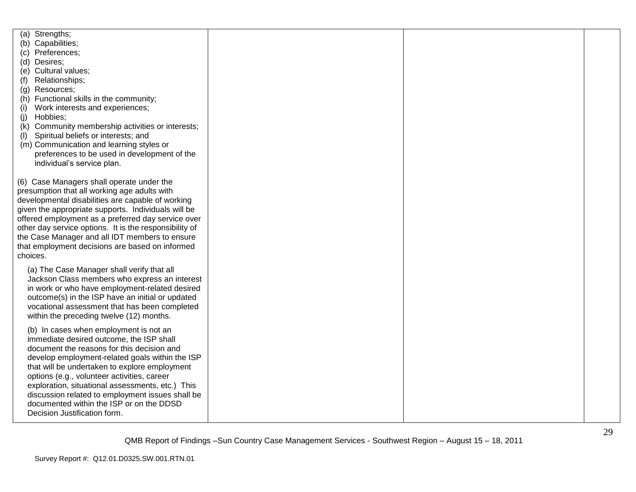| Strengths;<br>(a)<br>(b) Capabilities;<br>(c) Preferences;<br>(d) Desires;<br>(e) Cultural values;<br>Relationships;<br>(f)<br>(g) Resources;<br>(h) Functional skills in the community;<br>Work interests and experiences;<br>(i)<br>Hobbies;<br>(i)<br>Community membership activities or interests;<br>(k)<br>Spiritual beliefs or interests; and<br>(I)<br>(m) Communication and learning styles or<br>preferences to be used in development of the<br>individual's service plan. |  |  |
|---------------------------------------------------------------------------------------------------------------------------------------------------------------------------------------------------------------------------------------------------------------------------------------------------------------------------------------------------------------------------------------------------------------------------------------------------------------------------------------|--|--|
| (6) Case Managers shall operate under the<br>presumption that all working age adults with<br>developmental disabilities are capable of working<br>given the appropriate supports. Individuals will be<br>offered employment as a preferred day service over<br>other day service options. It is the responsibility of<br>the Case Manager and all IDT members to ensure<br>that employment decisions are based on informed<br>choices.                                                |  |  |
| (a) The Case Manager shall verify that all<br>Jackson Class members who express an interest<br>in work or who have employment-related desired<br>outcome(s) in the ISP have an initial or updated<br>vocational assessment that has been completed<br>within the preceding twelve (12) months.                                                                                                                                                                                        |  |  |
| (b) In cases when employment is not an<br>immediate desired outcome, the ISP shall<br>document the reasons for this decision and<br>develop employment-related goals within the ISP<br>that will be undertaken to explore employment<br>options (e.g., volunteer activities, career<br>exploration, situational assessments, etc.) This<br>discussion related to employment issues shall be<br>documented within the ISP or on the DDSD<br>Decision Justification form.               |  |  |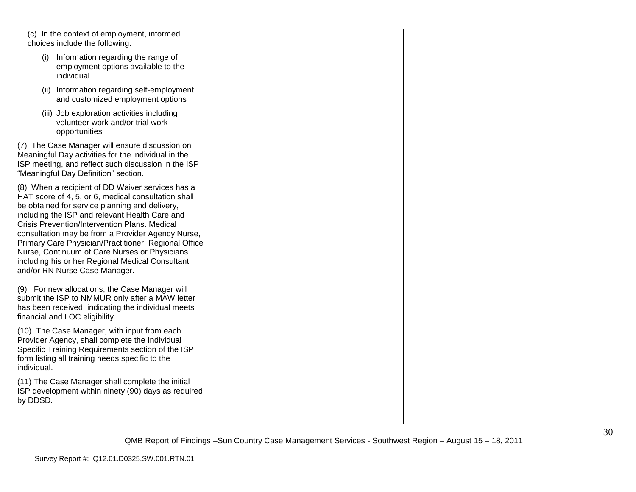| (c) In the context of employment, informed                                                                                                                                                                                                                                                                                                                                                                                                                                                                      |  |  |
|-----------------------------------------------------------------------------------------------------------------------------------------------------------------------------------------------------------------------------------------------------------------------------------------------------------------------------------------------------------------------------------------------------------------------------------------------------------------------------------------------------------------|--|--|
| choices include the following:                                                                                                                                                                                                                                                                                                                                                                                                                                                                                  |  |  |
| (i) Information regarding the range of<br>employment options available to the<br>individual                                                                                                                                                                                                                                                                                                                                                                                                                     |  |  |
| (ii) Information regarding self-employment<br>and customized employment options                                                                                                                                                                                                                                                                                                                                                                                                                                 |  |  |
| (iii) Job exploration activities including<br>volunteer work and/or trial work<br>opportunities                                                                                                                                                                                                                                                                                                                                                                                                                 |  |  |
| (7) The Case Manager will ensure discussion on<br>Meaningful Day activities for the individual in the<br>ISP meeting, and reflect such discussion in the ISP<br>"Meaningful Day Definition" section.                                                                                                                                                                                                                                                                                                            |  |  |
| (8) When a recipient of DD Waiver services has a<br>HAT score of 4, 5, or 6, medical consultation shall<br>be obtained for service planning and delivery,<br>including the ISP and relevant Health Care and<br>Crisis Prevention/Intervention Plans. Medical<br>consultation may be from a Provider Agency Nurse,<br>Primary Care Physician/Practitioner, Regional Office<br>Nurse, Continuum of Care Nurses or Physicians<br>including his or her Regional Medical Consultant<br>and/or RN Nurse Case Manager. |  |  |
| (9) For new allocations, the Case Manager will<br>submit the ISP to NMMUR only after a MAW letter<br>has been received, indicating the individual meets<br>financial and LOC eligibility.                                                                                                                                                                                                                                                                                                                       |  |  |
| (10) The Case Manager, with input from each<br>Provider Agency, shall complete the Individual<br>Specific Training Requirements section of the ISP<br>form listing all training needs specific to the<br>individual.                                                                                                                                                                                                                                                                                            |  |  |
| (11) The Case Manager shall complete the initial<br>ISP development within ninety (90) days as required<br>by DDSD.                                                                                                                                                                                                                                                                                                                                                                                             |  |  |
|                                                                                                                                                                                                                                                                                                                                                                                                                                                                                                                 |  |  |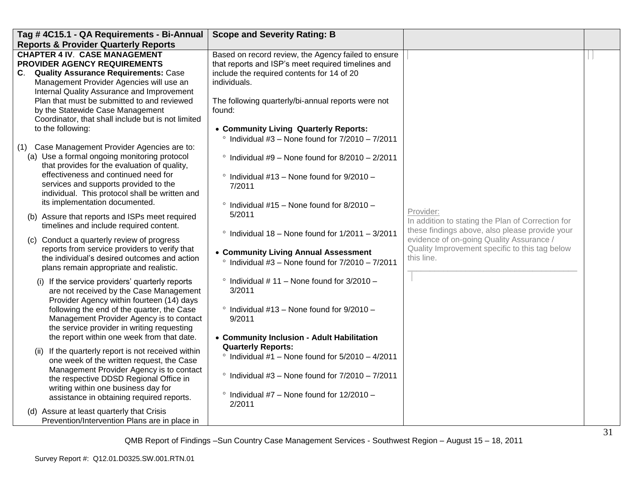| Tag # 4C15.1 - QA Requirements - Bi-Annual                                                                                                                                                                                                                                                                                                                                                                                                                                                                                                                                                                                                                                                          | <b>Scope and Severity Rating: B</b>                                                                                                                                                                                                                                                                                                                                                                                                                             |                                                                                                                                                                                                                              |  |
|-----------------------------------------------------------------------------------------------------------------------------------------------------------------------------------------------------------------------------------------------------------------------------------------------------------------------------------------------------------------------------------------------------------------------------------------------------------------------------------------------------------------------------------------------------------------------------------------------------------------------------------------------------------------------------------------------------|-----------------------------------------------------------------------------------------------------------------------------------------------------------------------------------------------------------------------------------------------------------------------------------------------------------------------------------------------------------------------------------------------------------------------------------------------------------------|------------------------------------------------------------------------------------------------------------------------------------------------------------------------------------------------------------------------------|--|
| <b>Reports &amp; Provider Quarterly Reports</b>                                                                                                                                                                                                                                                                                                                                                                                                                                                                                                                                                                                                                                                     |                                                                                                                                                                                                                                                                                                                                                                                                                                                                 |                                                                                                                                                                                                                              |  |
| <b>CHAPTER 4 IV. CASE MANAGEMENT</b><br><b>PROVIDER AGENCY REQUIREMENTS</b><br>C. Quality Assurance Requirements: Case<br>Management Provider Agencies will use an<br>Internal Quality Assurance and Improvement                                                                                                                                                                                                                                                                                                                                                                                                                                                                                    | Based on record review, the Agency failed to ensure<br>that reports and ISP's meet required timelines and<br>include the required contents for 14 of 20<br>individuals.                                                                                                                                                                                                                                                                                         |                                                                                                                                                                                                                              |  |
| Plan that must be submitted to and reviewed<br>by the Statewide Case Management<br>Coordinator, that shall include but is not limited<br>to the following:                                                                                                                                                                                                                                                                                                                                                                                                                                                                                                                                          | The following quarterly/bi-annual reports were not<br>found:<br>• Community Living Quarterly Reports:                                                                                                                                                                                                                                                                                                                                                           |                                                                                                                                                                                                                              |  |
| (1) Case Management Provider Agencies are to:<br>(a) Use a formal ongoing monitoring protocol<br>that provides for the evaluation of quality,<br>effectiveness and continued need for<br>services and supports provided to the<br>individual. This protocol shall be written and<br>its implementation documented.<br>(b) Assure that reports and ISPs meet required<br>timelines and include required content.<br>(c) Conduct a quarterly review of progress<br>reports from service providers to verify that<br>the individual's desired outcomes and action                                                                                                                                      | $\degree$ Individual #3 - None found for 7/2010 - 7/2011<br>$\degree$ Individual #9 - None found for 8/2010 - 2/2011<br>$\degree$ Individual #13 - None found for 9/2010 -<br>7/2011<br>$\degree$ Individual #15 - None found for 8/2010 -<br>5/2011<br>$\degree$ Individual 18 - None found for 1/2011 - 3/2011<br>• Community Living Annual Assessment                                                                                                        | Provider:<br>In addition to stating the Plan of Correction for<br>these findings above, also please provide your<br>evidence of on-going Quality Assurance /<br>Quality Improvement specific to this tag below<br>this line. |  |
| plans remain appropriate and realistic.<br>(i) If the service providers' quarterly reports<br>are not received by the Case Management<br>Provider Agency within fourteen (14) days<br>following the end of the quarter, the Case<br>Management Provider Agency is to contact<br>the service provider in writing requesting<br>the report within one week from that date.<br>(ii) If the quarterly report is not received within<br>one week of the written request, the Case<br>Management Provider Agency is to contact<br>the respective DDSD Regional Office in<br>writing within one business day for<br>assistance in obtaining required reports.<br>(d) Assure at least quarterly that Crisis | $\degree$ Individual #3 - None found for $7/2010 - 7/2011$<br>$\degree$ Individual #11 – None found for 3/2010 –<br>3/2011<br>$\degree$ Individual #13 - None found for 9/2010 -<br>9/2011<br>• Community Inclusion - Adult Habilitation<br><b>Quarterly Reports:</b><br>$\degree$ Individual #1 – None found for 5/2010 – 4/2011<br>$\degree$ Individual #3 - None found for $7/2010 - 7/2011$<br>$\degree$ Individual #7 - None found for 12/2010 -<br>2/2011 |                                                                                                                                                                                                                              |  |
| Prevention/Intervention Plans are in place in                                                                                                                                                                                                                                                                                                                                                                                                                                                                                                                                                                                                                                                       |                                                                                                                                                                                                                                                                                                                                                                                                                                                                 |                                                                                                                                                                                                                              |  |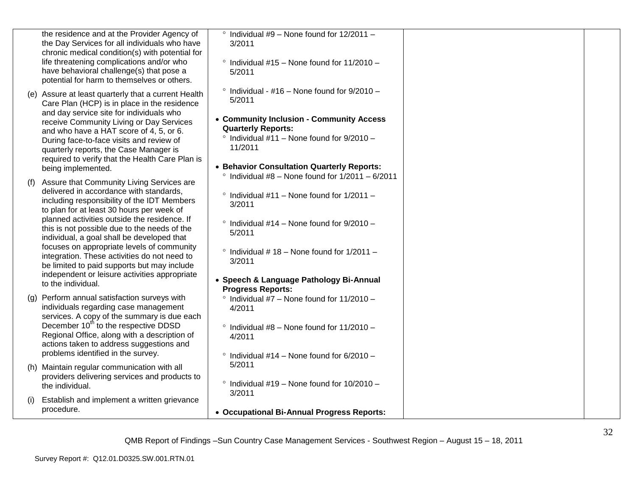|     | the residence and at the Provider Agency of<br>the Day Services for all individuals who have<br>chronic medical condition(s) with potential for<br>life threatening complications and/or who<br>have behavioral challenge(s) that pose a<br>potential for harm to themselves or others.                                                                                                                                                                                                                                                            | $\degree$ Individual #9 - None found for 12/2011 -<br>3/2011<br>$\degree$ Individual #15 - None found for 11/2010 -<br>5/2011                                                                                                                                                                                                   |  |
|-----|----------------------------------------------------------------------------------------------------------------------------------------------------------------------------------------------------------------------------------------------------------------------------------------------------------------------------------------------------------------------------------------------------------------------------------------------------------------------------------------------------------------------------------------------------|---------------------------------------------------------------------------------------------------------------------------------------------------------------------------------------------------------------------------------------------------------------------------------------------------------------------------------|--|
|     | (e) Assure at least quarterly that a current Health<br>Care Plan (HCP) is in place in the residence<br>and day service site for individuals who<br>receive Community Living or Day Services<br>and who have a HAT score of 4, 5, or 6.<br>During face-to-face visits and review of<br>quarterly reports, the Case Manager is<br>required to verify that the Health Care Plan is<br>being implemented.                                                                                                                                              | $\degree$ Individual - #16 - None found for 9/2010 -<br>5/2011<br>• Community Inclusion - Community Access<br><b>Quarterly Reports:</b><br>$\degree$ Individual #11 - None found for 9/2010 -<br>11/2011<br>• Behavior Consultation Quarterly Reports:                                                                          |  |
| (f) | Assure that Community Living Services are<br>delivered in accordance with standards,<br>including responsibility of the IDT Members<br>to plan for at least 30 hours per week of<br>planned activities outside the residence. If<br>this is not possible due to the needs of the<br>individual, a goal shall be developed that<br>focuses on appropriate levels of community<br>integration. These activities do not need to<br>be limited to paid supports but may include<br>independent or leisure activities appropriate<br>to the individual. | $\degree$ Individual #8 - None found for 1/2011 - 6/2011<br>$\degree$ Individual #11 – None found for 1/2011 –<br>3/2011<br>$\degree$ Individual #14 - None found for 9/2010 -<br>5/2011<br>$\degree$ Individual #18 - None found for 1/2011 -<br>3/2011<br>• Speech & Language Pathology Bi-Annual<br><b>Progress Reports:</b> |  |
|     | (g) Perform annual satisfaction surveys with<br>individuals regarding case management<br>services. A copy of the summary is due each<br>December 10 <sup>th</sup> to the respective DDSD<br>Regional Office, along with a description of<br>actions taken to address suggestions and<br>problems identified in the survey.                                                                                                                                                                                                                         | $\degree$ Individual #7 - None found for 11/2010 -<br>4/2011<br>$\degree$ Individual #8 - None found for 11/2010 -<br>4/2011<br>$\degree$ Individual #14 - None found for 6/2010 -                                                                                                                                              |  |
|     | (h) Maintain regular communication with all<br>providers delivering services and products to<br>the individual.                                                                                                                                                                                                                                                                                                                                                                                                                                    | 5/2011<br>$\degree$ Individual #19 - None found for 10/2010 -<br>3/2011                                                                                                                                                                                                                                                         |  |
| (i) | Establish and implement a written grievance<br>procedure.                                                                                                                                                                                                                                                                                                                                                                                                                                                                                          | • Occupational Bi-Annual Progress Reports:                                                                                                                                                                                                                                                                                      |  |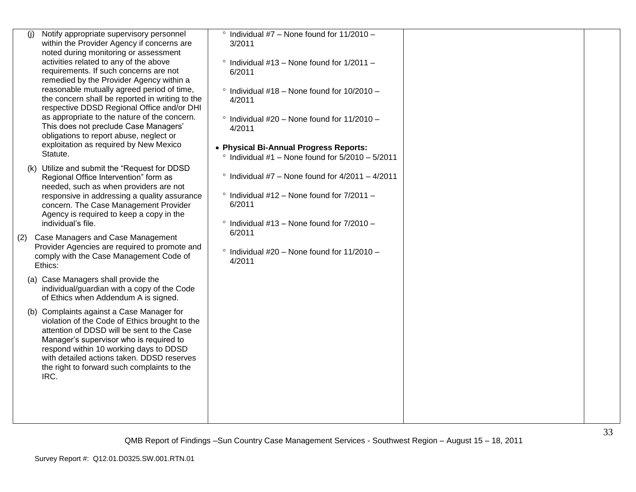| Notify appropriate supervisory personnel<br>(i)<br>within the Provider Agency if concerns are<br>noted during monitoring or assessment                                                                                                                                                                                              | $\degree$ Individual #7 - None found for 11/2010 -<br>3/2011                                       |  |
|-------------------------------------------------------------------------------------------------------------------------------------------------------------------------------------------------------------------------------------------------------------------------------------------------------------------------------------|----------------------------------------------------------------------------------------------------|--|
| activities related to any of the above<br>requirements. If such concerns are not<br>remedied by the Provider Agency within a                                                                                                                                                                                                        | $\degree$ Individual #13 - None found for 1/2011 -<br>6/2011                                       |  |
| reasonable mutually agreed period of time,<br>the concern shall be reported in writing to the<br>respective DDSD Regional Office and/or DHI                                                                                                                                                                                         | $\degree$ Individual #18 - None found for 10/2010 -<br>4/2011                                      |  |
| as appropriate to the nature of the concern.<br>This does not preclude Case Managers'<br>obligations to report abuse, neglect or                                                                                                                                                                                                    | $\degree$ Individual #20 - None found for 11/2010 -<br>4/2011                                      |  |
| exploitation as required by New Mexico<br>Statute.                                                                                                                                                                                                                                                                                  | • Physical Bi-Annual Progress Reports:<br>$\degree$ Individual #1 - None found for 5/2010 - 5/2011 |  |
| (k) Utilize and submit the "Request for DDSD<br>Regional Office Intervention" form as<br>needed, such as when providers are not                                                                                                                                                                                                     | $\degree$ Individual #7 – None found for 4/2011 – 4/2011                                           |  |
| responsive in addressing a quality assurance<br>concern. The Case Management Provider<br>Agency is required to keep a copy in the                                                                                                                                                                                                   | $\degree$ Individual #12 - None found for 7/2011 -<br>6/2011                                       |  |
| individual's file.                                                                                                                                                                                                                                                                                                                  | $\degree$ Individual #13 - None found for 7/2010 -<br>6/2011                                       |  |
| Case Managers and Case Management<br>(2)<br>Provider Agencies are required to promote and<br>comply with the Case Management Code of<br>Ethics:                                                                                                                                                                                     | $\degree$ Individual #20 - None found for 11/2010 -<br>4/2011                                      |  |
| (a) Case Managers shall provide the<br>individual/guardian with a copy of the Code<br>of Ethics when Addendum A is signed.                                                                                                                                                                                                          |                                                                                                    |  |
| (b) Complaints against a Case Manager for<br>violation of the Code of Ethics brought to the<br>attention of DDSD will be sent to the Case<br>Manager's supervisor who is required to<br>respond within 10 working days to DDSD<br>with detailed actions taken. DDSD reserves<br>the right to forward such complaints to the<br>IRC. |                                                                                                    |  |
|                                                                                                                                                                                                                                                                                                                                     |                                                                                                    |  |
|                                                                                                                                                                                                                                                                                                                                     |                                                                                                    |  |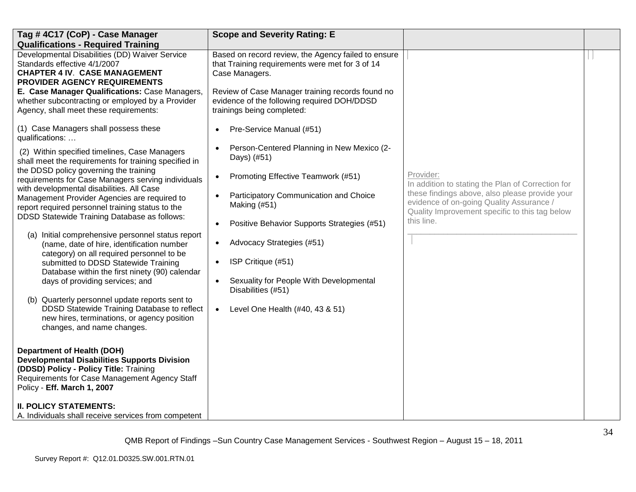| Tag #4C17 (CoP) - Case Manager                                                                                                                                                                                     | <b>Scope and Severity Rating: E</b>                                                                                           |                                                                                                                                              |  |
|--------------------------------------------------------------------------------------------------------------------------------------------------------------------------------------------------------------------|-------------------------------------------------------------------------------------------------------------------------------|----------------------------------------------------------------------------------------------------------------------------------------------|--|
| <b>Qualifications - Required Training</b>                                                                                                                                                                          |                                                                                                                               |                                                                                                                                              |  |
| Developmental Disabilities (DD) Waiver Service<br>Standards effective 4/1/2007<br><b>CHAPTER 4 IV. CASE MANAGEMENT</b><br>PROVIDER AGENCY REQUIREMENTS                                                             | Based on record review, the Agency failed to ensure<br>that Training requirements were met for 3 of 14<br>Case Managers.      |                                                                                                                                              |  |
| E. Case Manager Qualifications: Case Managers,<br>whether subcontracting or employed by a Provider<br>Agency, shall meet these requirements:                                                                       | Review of Case Manager training records found no<br>evidence of the following required DOH/DDSD<br>trainings being completed: |                                                                                                                                              |  |
| (1) Case Managers shall possess these<br>qualifications:                                                                                                                                                           | Pre-Service Manual (#51)                                                                                                      |                                                                                                                                              |  |
| (2) Within specified timelines, Case Managers<br>shall meet the requirements for training specified in                                                                                                             | Person-Centered Planning in New Mexico (2-<br>$\bullet$<br>Days) (#51)                                                        |                                                                                                                                              |  |
| the DDSD policy governing the training<br>requirements for Case Managers serving individuals<br>with developmental disabilities. All Case                                                                          | Promoting Effective Teamwork (#51)<br>$\bullet$                                                                               | Provider:<br>In addition to stating the Plan of Correction for                                                                               |  |
| Management Provider Agencies are required to<br>report required personnel training status to the<br>DDSD Statewide Training Database as follows:                                                                   | Participatory Communication and Choice<br>Making (#51)                                                                        | these findings above, also please provide your<br>evidence of on-going Quality Assurance /<br>Quality Improvement specific to this tag below |  |
|                                                                                                                                                                                                                    | Positive Behavior Supports Strategies (#51)<br>$\bullet$                                                                      | this line.                                                                                                                                   |  |
| (a) Initial comprehensive personnel status report<br>(name, date of hire, identification number<br>category) on all required personnel to be                                                                       | Advocacy Strategies (#51)                                                                                                     |                                                                                                                                              |  |
| submitted to DDSD Statewide Training<br>Database within the first ninety (90) calendar                                                                                                                             | ISP Critique (#51)<br>$\bullet$                                                                                               |                                                                                                                                              |  |
| days of providing services; and                                                                                                                                                                                    | Sexuality for People With Developmental<br>Disabilities (#51)                                                                 |                                                                                                                                              |  |
| (b) Quarterly personnel update reports sent to<br>DDSD Statewide Training Database to reflect<br>new hires, terminations, or agency position<br>changes, and name changes.                                         | Level One Health (#40, 43 & 51)<br>$\bullet$                                                                                  |                                                                                                                                              |  |
| <b>Department of Health (DOH)</b><br><b>Developmental Disabilities Supports Division</b><br>(DDSD) Policy - Policy Title: Training<br>Requirements for Case Management Agency Staff<br>Policy - Eff. March 1, 2007 |                                                                                                                               |                                                                                                                                              |  |
| <b>II. POLICY STATEMENTS:</b><br>A. Individuals shall receive services from competent                                                                                                                              |                                                                                                                               |                                                                                                                                              |  |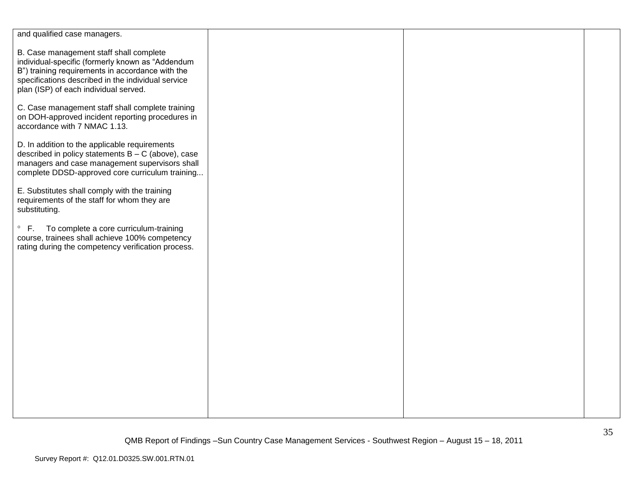| and qualified case managers.                                                                                                                                                                                                                   |  |  |
|------------------------------------------------------------------------------------------------------------------------------------------------------------------------------------------------------------------------------------------------|--|--|
| B. Case management staff shall complete<br>individual-specific (formerly known as "Addendum<br>B") training requirements in accordance with the<br>specifications described in the individual service<br>plan (ISP) of each individual served. |  |  |
| C. Case management staff shall complete training<br>on DOH-approved incident reporting procedures in<br>accordance with 7 NMAC 1.13.                                                                                                           |  |  |
| D. In addition to the applicable requirements<br>described in policy statements $B - C$ (above), case<br>managers and case management supervisors shall<br>complete DDSD-approved core curriculum training                                     |  |  |
| E. Substitutes shall comply with the training<br>requirements of the staff for whom they are<br>substituting.                                                                                                                                  |  |  |
| To complete a core curriculum-training<br>$\degree$ F.<br>course, trainees shall achieve 100% competency<br>rating during the competency verification process.                                                                                 |  |  |
|                                                                                                                                                                                                                                                |  |  |
|                                                                                                                                                                                                                                                |  |  |
|                                                                                                                                                                                                                                                |  |  |
|                                                                                                                                                                                                                                                |  |  |
|                                                                                                                                                                                                                                                |  |  |
|                                                                                                                                                                                                                                                |  |  |
|                                                                                                                                                                                                                                                |  |  |
|                                                                                                                                                                                                                                                |  |  |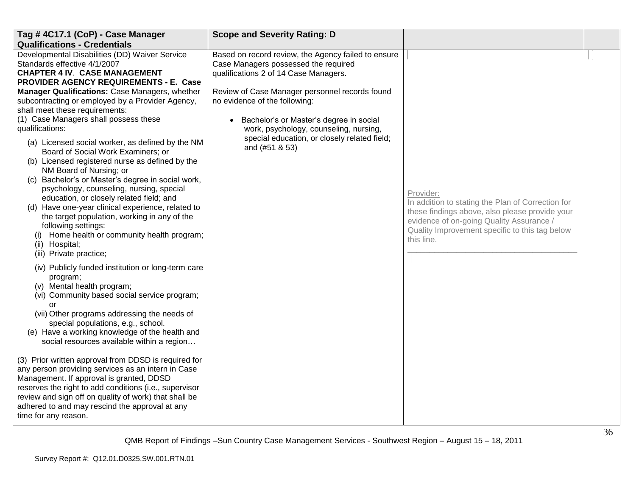| Tag #4C17.1 (CoP) - Case Manager                                                                                                                                                                                                                                                                                                                                                                                                                                                                                                                                                                                                                                                                                                                                                                                                                                                                                      | <b>Scope and Severity Rating: D</b>                                                                                                                                                                                                                                                                                                                                            |                                                                                                                                                                                                                              |  |
|-----------------------------------------------------------------------------------------------------------------------------------------------------------------------------------------------------------------------------------------------------------------------------------------------------------------------------------------------------------------------------------------------------------------------------------------------------------------------------------------------------------------------------------------------------------------------------------------------------------------------------------------------------------------------------------------------------------------------------------------------------------------------------------------------------------------------------------------------------------------------------------------------------------------------|--------------------------------------------------------------------------------------------------------------------------------------------------------------------------------------------------------------------------------------------------------------------------------------------------------------------------------------------------------------------------------|------------------------------------------------------------------------------------------------------------------------------------------------------------------------------------------------------------------------------|--|
| <b>Qualifications - Credentials</b>                                                                                                                                                                                                                                                                                                                                                                                                                                                                                                                                                                                                                                                                                                                                                                                                                                                                                   |                                                                                                                                                                                                                                                                                                                                                                                |                                                                                                                                                                                                                              |  |
| Developmental Disabilities (DD) Waiver Service<br>Standards effective 4/1/2007<br><b>CHAPTER 4 IV. CASE MANAGEMENT</b><br>PROVIDER AGENCY REQUIREMENTS - E. Case<br>Manager Qualifications: Case Managers, whether<br>subcontracting or employed by a Provider Agency,<br>shall meet these requirements:<br>(1) Case Managers shall possess these<br>qualifications:<br>(a) Licensed social worker, as defined by the NM<br>Board of Social Work Examiners; or<br>(b) Licensed registered nurse as defined by the<br>NM Board of Nursing; or<br>(c) Bachelor's or Master's degree in social work,<br>psychology, counseling, nursing, special<br>education, or closely related field; and<br>(d) Have one-year clinical experience, related to<br>the target population, working in any of the<br>following settings:<br>Home health or community health program;<br>(1)<br>(ii) Hospital;<br>(iii) Private practice; | Based on record review, the Agency failed to ensure<br>Case Managers possessed the required<br>qualifications 2 of 14 Case Managers.<br>Review of Case Manager personnel records found<br>no evidence of the following:<br>Bachelor's or Master's degree in social<br>work, psychology, counseling, nursing,<br>special education, or closely related field;<br>and (#51 & 53) | Provider:<br>In addition to stating the Plan of Correction for<br>these findings above, also please provide your<br>evidence of on-going Quality Assurance /<br>Quality Improvement specific to this tag below<br>this line. |  |
| (iv) Publicly funded institution or long-term care<br>program;<br>(v) Mental health program;<br>(vi) Community based social service program;<br>or<br>(vii) Other programs addressing the needs of<br>special populations, e.g., school.<br>(e) Have a working knowledge of the health and<br>social resources available within a region<br>(3) Prior written approval from DDSD is required for<br>any person providing services as an intern in Case                                                                                                                                                                                                                                                                                                                                                                                                                                                                |                                                                                                                                                                                                                                                                                                                                                                                |                                                                                                                                                                                                                              |  |
| Management. If approval is granted, DDSD<br>reserves the right to add conditions (i.e., supervisor<br>review and sign off on quality of work) that shall be<br>adhered to and may rescind the approval at any<br>time for any reason.                                                                                                                                                                                                                                                                                                                                                                                                                                                                                                                                                                                                                                                                                 |                                                                                                                                                                                                                                                                                                                                                                                |                                                                                                                                                                                                                              |  |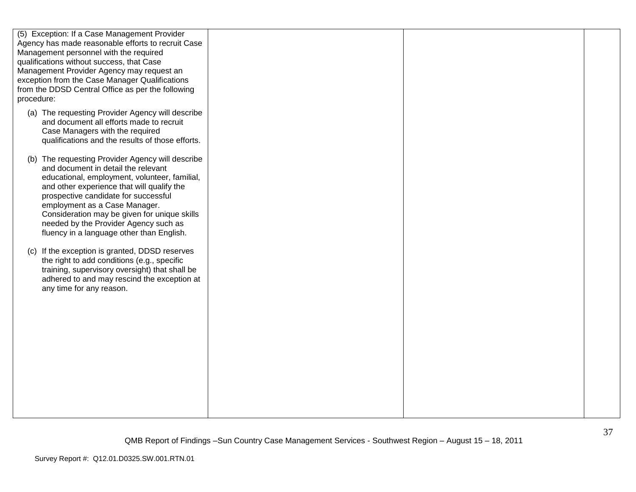| procedure: | (5) Exception: If a Case Management Provider<br>Agency has made reasonable efforts to recruit Case<br>Management personnel with the required<br>qualifications without success, that Case<br>Management Provider Agency may request an<br>exception from the Case Manager Qualifications<br>from the DDSD Central Office as per the following                                                         |  |  |
|------------|-------------------------------------------------------------------------------------------------------------------------------------------------------------------------------------------------------------------------------------------------------------------------------------------------------------------------------------------------------------------------------------------------------|--|--|
|            | (a) The requesting Provider Agency will describe<br>and document all efforts made to recruit<br>Case Managers with the required<br>qualifications and the results of those efforts.                                                                                                                                                                                                                   |  |  |
|            | (b) The requesting Provider Agency will describe<br>and document in detail the relevant<br>educational, employment, volunteer, familial,<br>and other experience that will qualify the<br>prospective candidate for successful<br>employment as a Case Manager.<br>Consideration may be given for unique skills<br>needed by the Provider Agency such as<br>fluency in a language other than English. |  |  |
|            | (c) If the exception is granted, DDSD reserves<br>the right to add conditions (e.g., specific<br>training, supervisory oversight) that shall be<br>adhered to and may rescind the exception at<br>any time for any reason.                                                                                                                                                                            |  |  |
|            |                                                                                                                                                                                                                                                                                                                                                                                                       |  |  |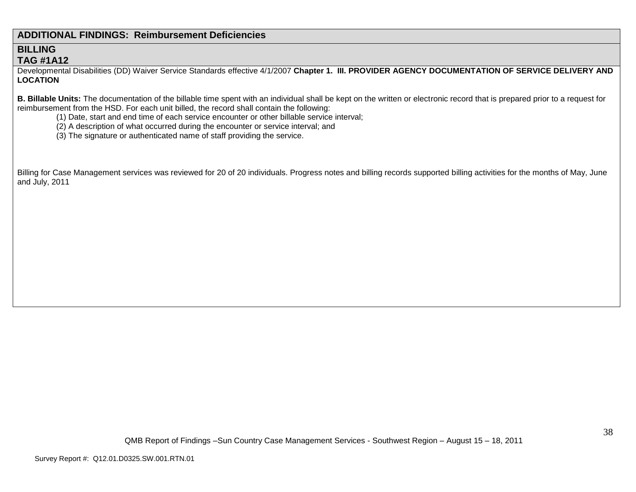## **ADDITIONAL FINDINGS: Reimbursement Deficiencies**

## **BILLING TAG #1A12**

Developmental Disabilities (DD) Waiver Service Standards effective 4/1/2007 **Chapter 1. III. PROVIDER AGENCY DOCUMENTATION OF SERVICE DELIVERY AND LOCATION**

**B. Billable Units:** The documentation of the billable time spent with an individual shall be kept on the written or electronic record that is prepared prior to a request for reimbursement from the HSD. For each unit billed, the record shall contain the following:

- (1) Date, start and end time of each service encounter or other billable service interval;
- (2) A description of what occurred during the encounter or service interval; and
- (3) The signature or authenticated name of staff providing the service.

Billing for Case Management services was reviewed for 20 of 20 individuals. Progress notes and billing records supported billing activities for the months of May, June and July, 2011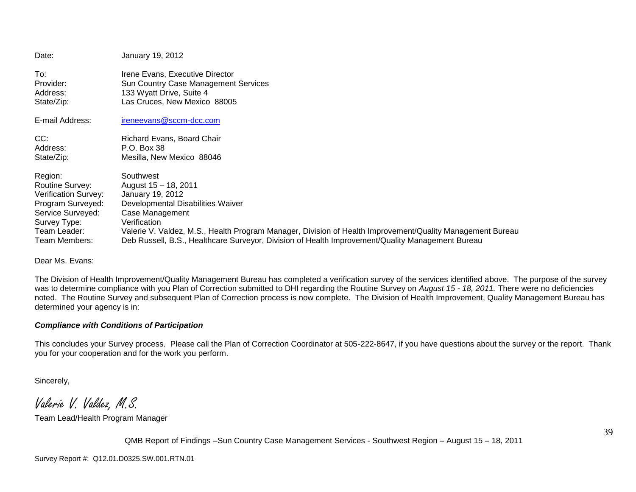| Date:                | January 19, 2012                                                                                          |
|----------------------|-----------------------------------------------------------------------------------------------------------|
| To:                  | Irene Evans, Executive Director                                                                           |
| Provider:            | Sun Country Case Management Services                                                                      |
| Address:             | 133 Wyatt Drive, Suite 4                                                                                  |
| State/Zip:           | Las Cruces, New Mexico 88005                                                                              |
| E-mail Address:      | ireneevans@sccm-dcc.com                                                                                   |
| CC:                  | Richard Evans, Board Chair                                                                                |
| Address:             | P.O. Box 38                                                                                               |
| State/Zip:           | Mesilla, New Mexico 88046                                                                                 |
| Region:              | Southwest                                                                                                 |
| Routine Survey:      | August 15 - 18, 2011                                                                                      |
| Verification Survey: | January 19, 2012                                                                                          |
| Program Surveyed:    | Developmental Disabilities Waiver                                                                         |
| Service Surveyed:    | Case Management                                                                                           |
| Survey Type:         | Verification                                                                                              |
| Team Leader:         | Valerie V. Valdez, M.S., Health Program Manager, Division of Health Improvement/Quality Management Bureau |
| Team Members:        | Deb Russell, B.S., Healthcare Surveyor, Division of Health Improvement/Quality Management Bureau          |

Dear Ms. Evans:

The Division of Health Improvement/Quality Management Bureau has completed a verification survey of the services identified above. The purpose of the survey was to determine compliance with you Plan of Correction submitted to DHI regarding the Routine Survey on *August 15 - 18, 2011.* There were no deficiencies noted. The Routine Survey and subsequent Plan of Correction process is now complete. The Division of Health Improvement, Quality Management Bureau has determined your agency is in:

#### *Compliance with Conditions of Participation*

This concludes your Survey process. Please call the Plan of Correction Coordinator at 505-222-8647, if you have questions about the survey or the report. Thank you for your cooperation and for the work you perform.

Sincerely,

Valerie V. Valdez, M.S.

Team Lead/Health Program Manager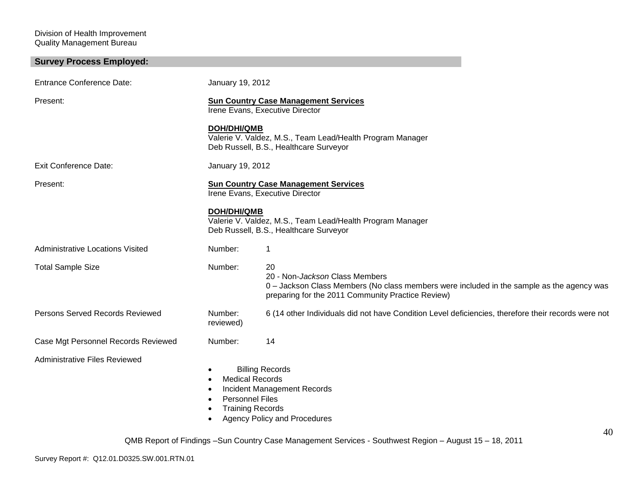Division of Health Improvement Quality Management Bureau

| <b>Survey Process Employed:</b>         |                                                                                                    |                                                                                                                                                                                        |
|-----------------------------------------|----------------------------------------------------------------------------------------------------|----------------------------------------------------------------------------------------------------------------------------------------------------------------------------------------|
| <b>Entrance Conference Date:</b>        | January 19, 2012                                                                                   |                                                                                                                                                                                        |
| Present:                                |                                                                                                    | <b>Sun Country Case Management Services</b><br>Irene Evans, Executive Director                                                                                                         |
|                                         | <b>DOH/DHI/QMB</b>                                                                                 | Valerie V. Valdez, M.S., Team Lead/Health Program Manager<br>Deb Russell, B.S., Healthcare Surveyor                                                                                    |
| Exit Conference Date:                   | January 19, 2012                                                                                   |                                                                                                                                                                                        |
| Present:                                |                                                                                                    | <b>Sun Country Case Management Services</b><br>Irene Evans, Executive Director                                                                                                         |
|                                         | <b>DOH/DHI/QMB</b>                                                                                 | Valerie V. Valdez, M.S., Team Lead/Health Program Manager<br>Deb Russell, B.S., Healthcare Surveyor                                                                                    |
| <b>Administrative Locations Visited</b> | Number:                                                                                            | 1                                                                                                                                                                                      |
| <b>Total Sample Size</b>                | Number:                                                                                            | 20<br>20 - Non-Jackson Class Members<br>0 - Jackson Class Members (No class members were included in the sample as the agency was<br>preparing for the 2011 Community Practice Review) |
| Persons Served Records Reviewed         | Number:<br>reviewed)                                                                               | 6 (14 other Individuals did not have Condition Level deficiencies, therefore their records were not                                                                                    |
| Case Mgt Personnel Records Reviewed     | Number:                                                                                            | 14                                                                                                                                                                                     |
| <b>Administrative Files Reviewed</b>    | ٠<br><b>Medical Records</b><br>$\bullet$<br>٠<br><b>Personnel Files</b><br><b>Training Records</b> | <b>Billing Records</b><br><b>Incident Management Records</b><br><b>Agency Policy and Procedures</b>                                                                                    |